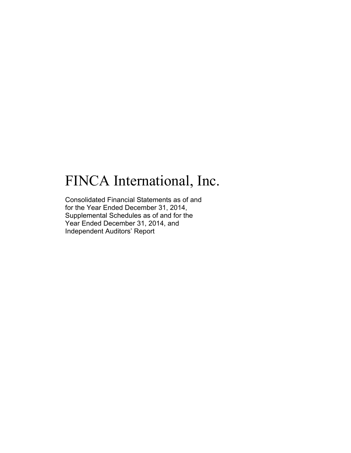# FINCA International, Inc.

Consolidated Financial Statements as of and for the Year Ended December 31, 2014, Supplemental Schedules as of and for the Year Ended December 31, 2014, and Independent Auditors' Report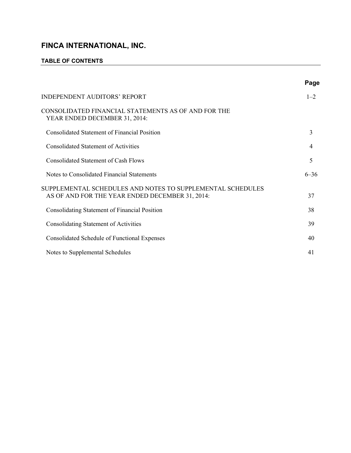#### **TABLE OF CONTENTS**

|                                                                                                               | Page     |
|---------------------------------------------------------------------------------------------------------------|----------|
| <b>INDEPENDENT AUDITORS' REPORT</b>                                                                           | $1 - 2$  |
| CONSOLIDATED FINANCIAL STATEMENTS AS OF AND FOR THE<br>YEAR ENDED DECEMBER 31, 2014:                          |          |
| <b>Consolidated Statement of Financial Position</b>                                                           | 3        |
| <b>Consolidated Statement of Activities</b>                                                                   | 4        |
| <b>Consolidated Statement of Cash Flows</b>                                                                   | 5        |
| Notes to Consolidated Financial Statements                                                                    | $6 - 36$ |
| SUPPLEMENTAL SCHEDULES AND NOTES TO SUPPLEMENTAL SCHEDULES<br>AS OF AND FOR THE YEAR ENDED DECEMBER 31, 2014: | 37       |
| <b>Consolidating Statement of Financial Position</b>                                                          | 38       |
| <b>Consolidating Statement of Activities</b>                                                                  | 39       |
| <b>Consolidated Schedule of Functional Expenses</b>                                                           | 40       |
| Notes to Supplemental Schedules                                                                               | 41       |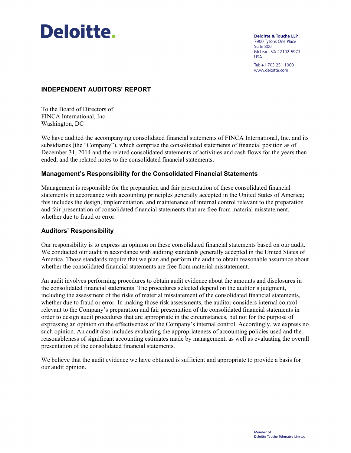

**Deloitte & Touche LLP** 7900 Tysons One Place Suite 800 McLean, VA 22102-5971 **TISA** 

Tel: +1 703 251 1000 www.deloitte.com

#### **INDEPENDENT AUDITORS' REPORT**

To the Board of Directors of FINCA International, Inc. Washington, DC

We have audited the accompanying consolidated financial statements of FINCA International, Inc. and its subsidiaries (the "Company"), which comprise the consolidated statements of financial position as of December 31, 2014 and the related consolidated statements of activities and cash flows for the years then ended, and the related notes to the consolidated financial statements.

#### **Management's Responsibility for the Consolidated Financial Statements**

Management is responsible for the preparation and fair presentation of these consolidated financial statements in accordance with accounting principles generally accepted in the United States of America; this includes the design, implementation, and maintenance of internal control relevant to the preparation and fair presentation of consolidated financial statements that are free from material misstatement, whether due to fraud or error.

#### **Auditors' Responsibility**

Our responsibility is to express an opinion on these consolidated financial statements based on our audit. We conducted our audit in accordance with auditing standards generally accepted in the United States of America. Those standards require that we plan and perform the audit to obtain reasonable assurance about whether the consolidated financial statements are free from material misstatement.

An audit involves performing procedures to obtain audit evidence about the amounts and disclosures in the consolidated financial statements. The procedures selected depend on the auditor's judgment, including the assessment of the risks of material misstatement of the consolidated financial statements, whether due to fraud or error. In making those risk assessments, the auditor considers internal control relevant to the Company's preparation and fair presentation of the consolidated financial statements in order to design audit procedures that are appropriate in the circumstances, but not for the purpose of expressing an opinion on the effectiveness of the Company's internal control. Accordingly, we express no such opinion. An audit also includes evaluating the appropriateness of accounting policies used and the reasonableness of significant accounting estimates made by management, as well as evaluating the overall presentation of the consolidated financial statements.

We believe that the audit evidence we have obtained is sufficient and appropriate to provide a basis for our audit opinion.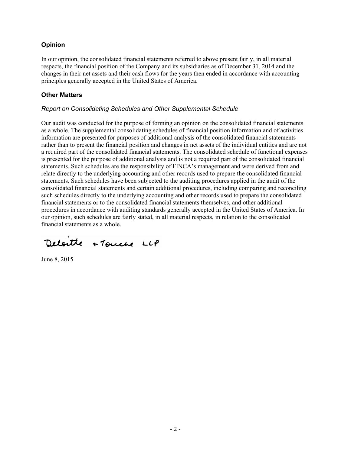#### **Opinion**

In our opinion, the consolidated financial statements referred to above present fairly, in all material respects, the financial position of the Company and its subsidiaries as of December 31, 2014 and the changes in their net assets and their cash flows for the years then ended in accordance with accounting principles generally accepted in the United States of America.

#### **Other Matters**

#### *Report on Consolidating Schedules and Other Supplemental Schedule*

Our audit was conducted for the purpose of forming an opinion on the consolidated financial statements as a whole. The supplemental consolidating schedules of financial position information and of activities information are presented for purposes of additional analysis of the consolidated financial statements rather than to present the financial position and changes in net assets of the individual entities and are not a required part of the consolidated financial statements. The consolidated schedule of functional expenses is presented for the purpose of additional analysis and is not a required part of the consolidated financial statements. Such schedules are the responsibility of FINCA's management and were derived from and relate directly to the underlying accounting and other records used to prepare the consolidated financial statements. Such schedules have been subjected to the auditing procedures applied in the audit of the consolidated financial statements and certain additional procedures, including comparing and reconciling such schedules directly to the underlying accounting and other records used to prepare the consolidated financial statements or to the consolidated financial statements themselves, and other additional procedures in accordance with auditing standards generally accepted in the United States of America. In our opinion, such schedules are fairly stated, in all material respects, in relation to the consolidated financial statements as a whole.

Deloitte + Touche LLP

June 8, 2015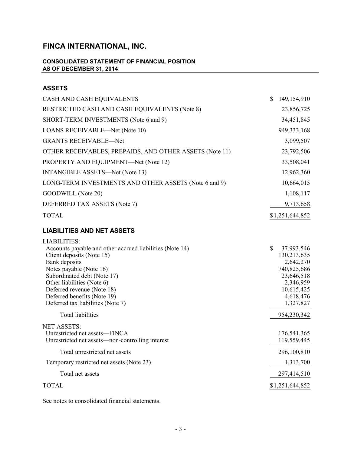#### **CONSOLIDATED STATEMENT OF FINANCIAL POSITION AS OF DECEMBER 31, 2014**

#### **ASSETS**

| CASH AND CASH EQUIVALENTS                                                                                                                                                                                                                                                                                               | \$<br>149,154,910                                                                                                              |
|-------------------------------------------------------------------------------------------------------------------------------------------------------------------------------------------------------------------------------------------------------------------------------------------------------------------------|--------------------------------------------------------------------------------------------------------------------------------|
| RESTRICTED CASH AND CASH EQUIVALENTS (Note 8)                                                                                                                                                                                                                                                                           | 23,856,725                                                                                                                     |
| SHORT-TERM INVESTMENTS (Note 6 and 9)                                                                                                                                                                                                                                                                                   | 34,451,845                                                                                                                     |
| <b>LOANS RECEIVABLE—Net (Note 10)</b>                                                                                                                                                                                                                                                                                   | 949, 333, 168                                                                                                                  |
| <b>GRANTS RECEIVABLE-Net</b>                                                                                                                                                                                                                                                                                            | 3,099,507                                                                                                                      |
| OTHER RECEIVABLES, PREPAIDS, AND OTHER ASSETS (Note 11)                                                                                                                                                                                                                                                                 | 23,792,506                                                                                                                     |
| PROPERTY AND EQUIPMENT—Net (Note 12)                                                                                                                                                                                                                                                                                    | 33,508,041                                                                                                                     |
| <b>INTANGIBLE ASSETS—Net (Note 13)</b>                                                                                                                                                                                                                                                                                  | 12,962,360                                                                                                                     |
| LONG-TERM INVESTMENTS AND OTHER ASSETS (Note 6 and 9)                                                                                                                                                                                                                                                                   | 10,664,015                                                                                                                     |
| GOODWILL (Note 20)                                                                                                                                                                                                                                                                                                      | 1,108,117                                                                                                                      |
| DEFERRED TAX ASSETS (Note 7)                                                                                                                                                                                                                                                                                            | 9,713,658                                                                                                                      |
| <b>TOTAL</b>                                                                                                                                                                                                                                                                                                            | \$1,251,644,852                                                                                                                |
| <b>LIABILITIES AND NET ASSETS</b>                                                                                                                                                                                                                                                                                       |                                                                                                                                |
| <b>LIABILITIES:</b><br>Accounts payable and other accrued liabilities (Note 14)<br>Client deposits (Note 15)<br>Bank deposits<br>Notes payable (Note 16)<br>Subordinated debt (Note 17)<br>Other liabilities (Note 6)<br>Deferred revenue (Note 18)<br>Deferred benefits (Note 19)<br>Deferred tax liabilities (Note 7) | \$<br>37,993,546<br>130,213,635<br>2,642,270<br>740,825,686<br>23,646,518<br>2,346,959<br>10,615,425<br>4,618,476<br>1,327,827 |
| Total liabilities                                                                                                                                                                                                                                                                                                       | 954,230,342                                                                                                                    |
| <b>NET ASSETS:</b><br>Unrestricted net assets-FINCA<br>Unrestricted net assets—non-controlling interest                                                                                                                                                                                                                 | 176,541,365<br>119,559,445                                                                                                     |
| Total unrestricted net assets                                                                                                                                                                                                                                                                                           | 296,100,810                                                                                                                    |
| Temporary restricted net assets (Note 23)                                                                                                                                                                                                                                                                               | 1,313,700                                                                                                                      |
| Total net assets                                                                                                                                                                                                                                                                                                        | 297,414,510                                                                                                                    |
| <b>TOTAL</b>                                                                                                                                                                                                                                                                                                            | \$1,251,644,852                                                                                                                |
|                                                                                                                                                                                                                                                                                                                         |                                                                                                                                |

See notes to consolidated financial statements.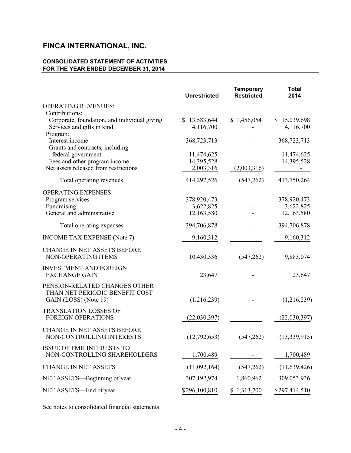#### **CONSOLIDATED STATEMENT OF ACTIVITIES FOR THE YEAR ENDED DECEMBER 31, 2014**

|                                                    | <b>Unrestricted</b> | <b>Temporary</b><br><b>Restricted</b> | <b>Total</b><br>2014 |
|----------------------------------------------------|---------------------|---------------------------------------|----------------------|
| <b>OPERATING REVENUES:</b>                         |                     |                                       |                      |
| Contributions:                                     |                     |                                       |                      |
| Corporate, foundation, and individual giving       | \$13,583,644        | \$1,456,054                           | \$15,039,698         |
| Services and gifts in kind                         | 4,116,700           |                                       | 4,116,700            |
| Program:                                           |                     |                                       |                      |
| Interest income<br>Grants and contracts, including | 368,723,713         |                                       | 368,723,713          |
| federal government                                 | 11,474,625          |                                       | 11,474,625           |
| Fees and other program income                      | 14,395,528          |                                       | 14,395,528           |
| Net assets released from restrictions              | 2,003,316           | (2,003,316)                           |                      |
| Total operating revenues                           | 414,297,526         | (547, 262)                            | 413,750,264          |
| <b>OPERATING EXPENSES:</b>                         |                     |                                       |                      |
| Program services                                   | 378,920,473         |                                       | 378,920,473          |
| Fundraising                                        | 3,622,825           |                                       | 3,622,825            |
| General and administrative                         | 12,163,580          |                                       | 12,163,580           |
| Total operating expenses                           | 394,706,878         |                                       | 394,706,878          |
| <b>INCOME TAX EXPENSE (Note 7)</b>                 | 9,160,312           |                                       | 9,160,312            |
| <b>CHANGE IN NET ASSETS BEFORE</b>                 |                     |                                       |                      |
| NON-OPERATING ITEMS                                | 10,430,336          | (547,262)                             | 9,883,074            |
| <b>INVESTMENT AND FOREIGN</b>                      |                     |                                       |                      |
| <b>EXCHANGE GAIN</b>                               | 23,647              |                                       | 23,647               |
| PENSION-RELATED CHANGES OTHER                      |                     |                                       |                      |
| THAN NET PERIODIC BENEFIT COST                     |                     |                                       |                      |
| GAIN (LOSS) (Note 19)                              | (1,216,239)         |                                       | (1,216,239)          |
| <b>TRANSLATION LOSSES OF</b>                       |                     |                                       |                      |
| <b>FOREIGN OPERATIONS</b>                          | (22,030,397)        |                                       | (22,030,397)         |
| <b>CHANGE IN NET ASSETS BEFORE</b>                 |                     |                                       |                      |
| NON-CONTROLLING INTERESTS                          | (12,792,653)        | (547,262)                             | (13,339,915)         |
| <b>ISSUE OF FMH INTERESTS TO</b>                   |                     |                                       |                      |
| NON-CONTROLLING SHAREHOLDERS                       | 1,700,489           |                                       | 1,700,489            |
| <b>CHANGE IN NET ASSETS</b>                        | (11,092,164)        | (547,262)                             |                      |
|                                                    |                     |                                       | (11,639,426)         |
| NET ASSETS—Beginning of year                       | 307,192,974         | 1,860,962                             | 309,053,936          |
| NET ASSETS-End of year                             | \$296,100,810       | \$1,313,700                           | \$297,414,510        |

See notes to consolidated financial statements.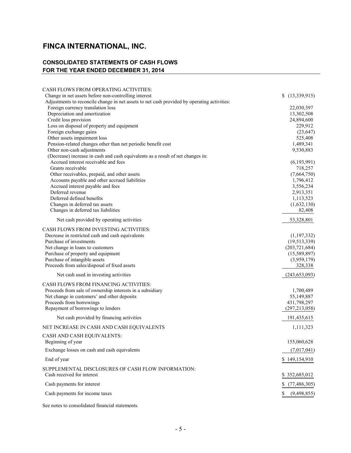#### **CONSOLIDATED STATEMENTS OF CASH FLOWS FOR THE YEAR ENDED DECEMBER 31, 2014**

| <b>CASH FLOWS FROM OPERATING ACTIVITIES:</b>                                                |                        |
|---------------------------------------------------------------------------------------------|------------------------|
| Change in net assets before non-controlling interest                                        | \$(13,339,915)         |
| Adjustments to reconcile change in net assets to net cash provided by operating activities: |                        |
| Foreign currency translation loss                                                           | 22,030,397             |
| Depreciation and amortization                                                               | 13,302,508             |
| Credit loss provision                                                                       | 24,894,600             |
| Loss on disposal of property and equipment                                                  | 229,912                |
| Foreign exchange gains                                                                      | (23, 647)              |
| Other assets impairment loss                                                                | 525,408                |
| Pension-related changes other than net periodic benefit cost                                | 1,489,341              |
| Other non-cash adjustments                                                                  | 9,530,883              |
| (Decrease) increase in cash and cash equivalents as a result of net changes in:             |                        |
| Accrued interest receivable and fees<br>Grants receivable                                   | (6,193,991)            |
| Other receivables, prepaid, and other assets                                                | 718,257<br>(7,664,750) |
| Accounts payable and other accrued liabilities                                              | 1,796,412              |
| Accrued interest payable and fees                                                           | 3,556,234              |
| Deferred revenue                                                                            | 2,913,351              |
| Deferred defined benefits                                                                   | 1,113,523              |
| Changes in deferred tax assets                                                              | (1,632,130)            |
| Changes in deferred tax liabilities                                                         | 82,408                 |
| Net cash provided by operating activities                                                   | 53,328,801             |
| <b>CASH FLOWS FROM INVESTING ACTIVITIES:</b>                                                |                        |
| Decrease in restricted cash and cash equivalents                                            | (1,197,332)            |
| Purchase of investments                                                                     | (19,513,339)           |
| Net change in loans to customers                                                            | (203, 721, 684)        |
| Purchase of property and equipment                                                          | (15,589,897)           |
| Purchase of intangible assets                                                               | (3,959,179)            |
| Proceeds from sales/disposal of fixed assets                                                | 328,338                |
| Net cash used in investing activities                                                       | (243, 653, 093)        |
| <b>CASH FLOWS FROM FINANCING ACTIVITIES:</b>                                                |                        |
| Proceeds from sale of ownership interests in a subsidiary                                   | 1,700,489              |
| Net change in customers' and other deposits                                                 | 55,149,887             |
| Proceeds from borrowings                                                                    | 431,798,297            |
| Repayment of borrowings to lenders                                                          | (297, 213, 058)        |
| Net cash provided by financing activities                                                   | 191,435,615            |
| NET INCREASE IN CASH AND CASH EQUIVALENTS                                                   | 1,111,323              |
| CASH AND CASH EQUIVALENTS:                                                                  |                        |
| Beginning of year                                                                           | 155,060,628            |
| Exchange losses on cash and cash equivalents                                                | (7,017,041)            |
| End of year                                                                                 | \$149,154,910          |
| SUPPLEMENTAL DISCLOSURES OF CASH FLOW INFORMATION:                                          |                        |
| Cash received for interest                                                                  | \$352,685,012          |
| Cash payments for interest                                                                  | (77, 486, 305)         |
| Cash payments for income taxes                                                              | (9,498,855)            |
|                                                                                             |                        |

See notes to consolidated financial statements.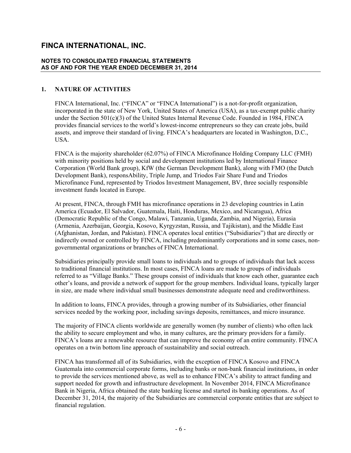#### **NOTES TO CONSOLIDATED FINANCIAL STATEMENTS AS OF AND FOR THE YEAR ENDED DECEMBER 31, 2014**

#### **1. NATURE OF ACTIVITIES**

FINCA International, Inc. ("FINCA" or "FINCA International") is a not-for-profit organization, incorporated in the state of New York, United States of America (USA), as a tax-exempt public charity under the Section 501(c)(3) of the United States Internal Revenue Code. Founded in 1984, FINCA provides financial services to the world's lowest-income entrepreneurs so they can create jobs, build assets, and improve their standard of living. FINCA's headquarters are located in Washington, D.C., USA.

FINCA is the majority shareholder (62.07%) of FINCA Microfinance Holding Company LLC (FMH) with minority positions held by social and development institutions led by International Finance Corporation (World Bank group), KfW (the German Development Bank), along with FMO (the Dutch Development Bank), responsAbility, Triple Jump, and Triodos Fair Share Fund and Triodos Microfinance Fund, represented by Triodos Investment Management, BV, three socially responsible investment funds located in Europe.

At present, FINCA, through FMH has microfinance operations in 23 developing countries in Latin America (Ecuador, El Salvador, Guatemala, Haiti, Honduras, Mexico, and Nicaragua), Africa (Democratic Republic of the Congo, Malawi, Tanzania, Uganda, Zambia, and Nigeria), Eurasia (Armenia, Azerbaijan, Georgia, Kosovo, Kyrgyzstan, Russia, and Tajikistan), and the Middle East (Afghanistan, Jordan, and Pakistan). FINCA operates local entities ("Subsidiaries") that are directly or indirectly owned or controlled by FINCA, including predominantly corporations and in some cases, nongovernmental organizations or branches of FINCA International.

Subsidiaries principally provide small loans to individuals and to groups of individuals that lack access to traditional financial institutions. In most cases, FINCA loans are made to groups of individuals referred to as "Village Banks." These groups consist of individuals that know each other, guarantee each other's loans, and provide a network of support for the group members. Individual loans, typically larger in size, are made where individual small businesses demonstrate adequate need and creditworthiness.

In addition to loans, FINCA provides, through a growing number of its Subsidiaries, other financial services needed by the working poor, including savings deposits, remittances, and micro insurance.

The majority of FINCA clients worldwide are generally women (by number of clients) who often lack the ability to secure employment and who, in many cultures, are the primary providers for a family. FINCA's loans are a renewable resource that can improve the economy of an entire community. FINCA operates on a twin bottom line approach of sustainability and social outreach.

FINCA has transformed all of its Subsidiaries, with the exception of FINCA Kosovo and FINCA Guatemala into commercial corporate forms, including banks or non-bank financial institutions, in order to provide the services mentioned above, as well as to enhance FINCA's ability to attract funding and support needed for growth and infrastructure development. In November 2014, FINCA Microfinance Bank in Nigeria, Africa obtained the state banking license and started its banking operations. As of December 31, 2014, the majority of the Subsidiaries are commercial corporate entities that are subject to financial regulation.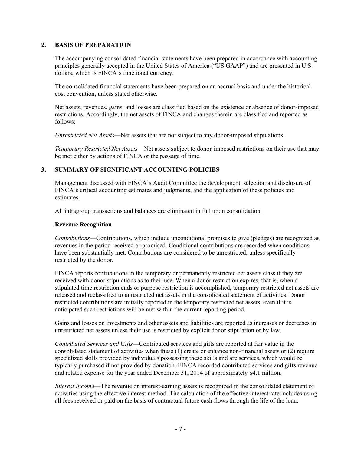#### **2. BASIS OF PREPARATION**

The accompanying consolidated financial statements have been prepared in accordance with accounting principles generally accepted in the United States of America ("US GAAP") and are presented in U.S. dollars, which is FINCA's functional currency.

The consolidated financial statements have been prepared on an accrual basis and under the historical cost convention, unless stated otherwise.

Net assets, revenues, gains, and losses are classified based on the existence or absence of donor-imposed restrictions. Accordingly, the net assets of FINCA and changes therein are classified and reported as follows:

*Unrestricted Net Assets*—Net assets that are not subject to any donor-imposed stipulations.

*Temporary Restricted Net Assets*—Net assets subject to donor-imposed restrictions on their use that may be met either by actions of FINCA or the passage of time.

#### **3. SUMMARY OF SIGNIFICANT ACCOUNTING POLICIES**

Management discussed with FINCA's Audit Committee the development, selection and disclosure of FINCA's critical accounting estimates and judgments, and the application of these policies and estimates.

All intragroup transactions and balances are eliminated in full upon consolidation.

#### **Revenue Recognition**

*Contributions*—Contributions, which include unconditional promises to give (pledges) are recognized as revenues in the period received or promised. Conditional contributions are recorded when conditions have been substantially met. Contributions are considered to be unrestricted, unless specifically restricted by the donor.

FINCA reports contributions in the temporary or permanently restricted net assets class if they are received with donor stipulations as to their use. When a donor restriction expires, that is, when a stipulated time restriction ends or purpose restriction is accomplished, temporary restricted net assets are released and reclassified to unrestricted net assets in the consolidated statement of activities. Donor restricted contributions are initially reported in the temporary restricted net assets, even if it is anticipated such restrictions will be met within the current reporting period.

Gains and losses on investments and other assets and liabilities are reported as increases or decreases in unrestricted net assets unless their use is restricted by explicit donor stipulation or by law.

*Contributed Services and Gifts*—Contributed services and gifts are reported at fair value in the consolidated statement of activities when these (1) create or enhance non-financial assets or (2) require specialized skills provided by individuals possessing these skills and are services, which would be typically purchased if not provided by donation. FINCA recorded contributed services and gifts revenue and related expense for the year ended December 31, 2014 of approximately \$4.1 million.

*Interest Income*—The revenue on interest-earning assets is recognized in the consolidated statement of activities using the effective interest method. The calculation of the effective interest rate includes using all fees received or paid on the basis of contractual future cash flows through the life of the loan.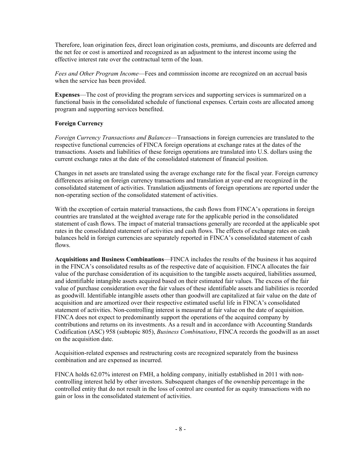Therefore, loan origination fees, direct loan origination costs, premiums, and discounts are deferred and the net fee or cost is amortized and recognized as an adjustment to the interest income using the effective interest rate over the contractual term of the loan.

*Fees and Other Program Income*—Fees and commission income are recognized on an accrual basis when the service has been provided.

**Expenses**—The cost of providing the program services and supporting services is summarized on a functional basis in the consolidated schedule of functional expenses. Certain costs are allocated among program and supporting services benefited.

#### **Foreign Currency**

*Foreign Currency Transactions and Balances*—Transactions in foreign currencies are translated to the respective functional currencies of FINCA foreign operations at exchange rates at the dates of the transactions. Assets and liabilities of these foreign operations are translated into U.S. dollars using the current exchange rates at the date of the consolidated statement of financial position.

Changes in net assets are translated using the average exchange rate for the fiscal year. Foreign currency differences arising on foreign currency transactions and translation at year-end are recognized in the consolidated statement of activities. Translation adjustments of foreign operations are reported under the non-operating section of the consolidated statement of activities.

With the exception of certain material transactions, the cash flows from FINCA's operations in foreign countries are translated at the weighted average rate for the applicable period in the consolidated statement of cash flows. The impact of material transactions generally are recorded at the applicable spot rates in the consolidated statement of activities and cash flows. The effects of exchange rates on cash balances held in foreign currencies are separately reported in FINCA's consolidated statement of cash flows.

**Acquisitions and Business Combinations**—FINCA includes the results of the business it has acquired in the FINCA's consolidated results as of the respective date of acquisition. FINCA allocates the fair value of the purchase consideration of its acquisition to the tangible assets acquired, liabilities assumed, and identifiable intangible assets acquired based on their estimated fair values. The excess of the fair value of purchase consideration over the fair values of these identifiable assets and liabilities is recorded as goodwill. Identifiable intangible assets other than goodwill are capitalized at fair value on the date of acquisition and are amortized over their respective estimated useful life in FINCA's consolidated statement of activities. Non-controlling interest is measured at fair value on the date of acquisition. FINCA does not expect to predominantly support the operations of the acquired company by contributions and returns on its investments. As a result and in accordance with Accounting Standards Codification (ASC) 958 (subtopic 805), *Business Combinations*, FINCA records the goodwill as an asset on the acquisition date.

Acquisition-related expenses and restructuring costs are recognized separately from the business combination and are expensed as incurred.

FINCA holds 62.07% interest on FMH, a holding company, initially established in 2011 with noncontrolling interest held by other investors. Subsequent changes of the ownership percentage in the controlled entity that do not result in the loss of control are counted for as equity transactions with no gain or loss in the consolidated statement of activities.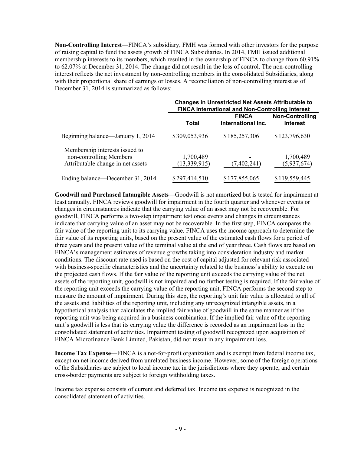**Non-Controlling Interest**—FINCA's subsidiary, FMH was formed with other investors for the purpose of raising capital to fund the assets growth of FINCA Subsidiaries. In 2014, FMH issued additional membership interests to its members, which resulted in the ownership of FINCA to change from 60.91% to 62.07% at December 31, 2014. The change did not result in the loss of control. The non-controlling interest reflects the net investment by non-controlling members in the consolidated Subsidiaries, along with their proportional share of earnings or losses. A reconciliation of non-controlling interest as of December 31, 2014 is summarized as follows:

|                                                                                                | <b>Changes in Unrestricted Net Assets Attributable to</b><br>FINCA International and Non-Controlling Interest |                                    |                                           |
|------------------------------------------------------------------------------------------------|---------------------------------------------------------------------------------------------------------------|------------------------------------|-------------------------------------------|
|                                                                                                | Total                                                                                                         | <b>FINCA</b><br>International Inc. | <b>Non-Controlling</b><br><b>Interest</b> |
| Beginning balance—January 1, 2014                                                              | \$309,053,936                                                                                                 | \$185,257,306                      | \$123,796,630                             |
| Membership interests issued to<br>non-controlling Members<br>Attributable change in net assets | 1,700,489<br>(13,339,915)                                                                                     | (7,402,241)                        | 1,700,489<br>(5,937,674)                  |
| Ending balance—December 31, 2014                                                               | \$297,414,510                                                                                                 | \$177,855,065                      | \$119,559,445                             |

**Goodwill and Purchased Intangible Assets**—Goodwill is not amortized but is tested for impairment at least annually. FINCA reviews goodwill for impairment in the fourth quarter and whenever events or changes in circumstances indicate that the carrying value of an asset may not be recoverable. For goodwill, FINCA performs a two-step impairment test once events and changes in circumstances indicate that carrying value of an asset may not be recoverable. In the first step, FINCA compares the fair value of the reporting unit to its carrying value. FINCA uses the income approach to determine the fair value of its reporting units, based on the present value of the estimated cash flows for a period of three years and the present value of the terminal value at the end of year three. Cash flows are based on FINCA's management estimates of revenue growths taking into consideration industry and market conditions. The discount rate used is based on the cost of capital adjusted for relevant risk associated with business-specific characteristics and the uncertainty related to the business's ability to execute on the projected cash flows. If the fair value of the reporting unit exceeds the carrying value of the net assets of the reporting unit, goodwill is not impaired and no further testing is required. If the fair value of the reporting unit exceeds the carrying value of the reporting unit, FINCA performs the second step to measure the amount of impairment. During this step, the reporting's unit fair value is allocated to all of the assets and liabilities of the reporting unit, including any unrecognized intangible assets, in a hypothetical analysis that calculates the implied fair value of goodwill in the same manner as if the reporting unit was being acquired in a business combination. If the implied fair value of the reporting unit's goodwill is less that its carrying value the difference is recorded as an impairment loss in the consolidated statement of activities. Impairment testing of goodwill recognized upon acquisition of FINCA Microfinance Bank Limited, Pakistan, did not result in any impairment loss.

**Income Tax Expense**—FINCA is a not-for-profit organization and is exempt from federal income tax, except on net income derived from unrelated business income. However, some of the foreign operations of the Subsidiaries are subject to local income tax in the jurisdictions where they operate, and certain cross-border payments are subject to foreign withholding taxes.

Income tax expense consists of current and deferred tax. Income tax expense is recognized in the consolidated statement of activities.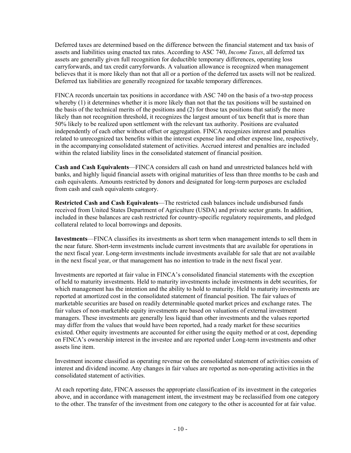Deferred taxes are determined based on the difference between the financial statement and tax basis of assets and liabilities using enacted tax rates. According to ASC 740, *Income Taxes*, all deferred tax assets are generally given full recognition for deductible temporary differences, operating loss carryforwards, and tax credit carryforwards. A valuation allowance is recognized when management believes that it is more likely than not that all or a portion of the deferred tax assets will not be realized. Deferred tax liabilities are generally recognized for taxable temporary differences.

FINCA records uncertain tax positions in accordance with ASC 740 on the basis of a two-step process whereby (1) it determines whether it is more likely than not that the tax positions will be sustained on the basis of the technical merits of the positions and (2) for those tax positions that satisfy the more likely than not recognition threshold, it recognizes the largest amount of tax benefit that is more than 50% likely to be realized upon settlement with the relevant tax authority. Positions are evaluated independently of each other without offset or aggregation. FINCA recognizes interest and penalties related to unrecognized tax benefits within the interest expense line and other expense line, respectively, in the accompanying consolidated statement of activities. Accrued interest and penalties are included within the related liability lines in the consolidated statement of financial position.

**Cash and Cash Equivalents**—FINCA considers all cash on hand and unrestricted balances held with banks, and highly liquid financial assets with original maturities of less than three months to be cash and cash equivalents. Amounts restricted by donors and designated for long-term purposes are excluded from cash and cash equivalents category.

**Restricted Cash and Cash Equivalents**—The restricted cash balances include undisbursed funds received from United States Department of Agriculture (USDA) and private sector grants. In addition, included in these balances are cash restricted for country-specific regulatory requirements, and pledged collateral related to local borrowings and deposits.

**Investments**—FINCA classifies its investments as short term when management intends to sell them in the near future. Short-term investments include current investments that are available for operations in the next fiscal year. Long-term investments include investments available for sale that are not available in the next fiscal year, or that management has no intention to trade in the next fiscal year.

Investments are reported at fair value in FINCA's consolidated financial statements with the exception of held to maturity investments. Held to maturity investments include investments in debt securities, for which management has the intention and the ability to hold to maturity. Held to maturity investments are reported at amortized cost in the consolidated statement of financial position. The fair values of marketable securities are based on readily determinable quoted market prices and exchange rates. The fair values of non-marketable equity investments are based on valuations of external investment managers. These investments are generally less liquid than other investments and the values reported may differ from the values that would have been reported, had a ready market for these securities existed. Other equity investments are accounted for either using the equity method or at cost, depending on FINCA's ownership interest in the investee and are reported under Long-term investments and other assets line item.

Investment income classified as operating revenue on the consolidated statement of activities consists of interest and dividend income. Any changes in fair values are reported as non-operating activities in the consolidated statement of activities.

At each reporting date, FINCA assesses the appropriate classification of its investment in the categories above, and in accordance with management intent, the investment may be reclassified from one category to the other. The transfer of the investment from one category to the other is accounted for at fair value.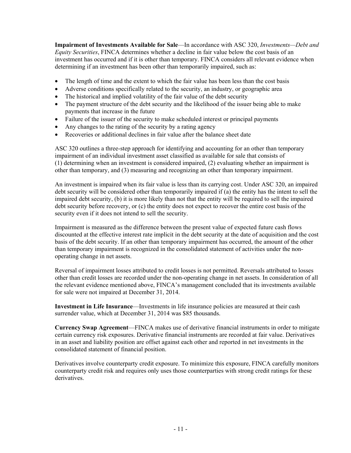**Impairment of Investments Available for Sale**—In accordance with ASC 320, *Investments—Debt and Equity Securities*, FINCA determines whether a decline in fair value below the cost basis of an investment has occurred and if it is other than temporary. FINCA considers all relevant evidence when determining if an investment has been other than temporarily impaired, such as:

- The length of time and the extent to which the fair value has been less than the cost basis
- Adverse conditions specifically related to the security, an industry, or geographic area
- The historical and implied volatility of the fair value of the debt security
- The payment structure of the debt security and the likelihood of the issuer being able to make payments that increase in the future
- Failure of the issuer of the security to make scheduled interest or principal payments
- Any changes to the rating of the security by a rating agency
- Recoveries or additional declines in fair value after the balance sheet date

ASC 320 outlines a three-step approach for identifying and accounting for an other than temporary impairment of an individual investment asset classified as available for sale that consists of (1) determining when an investment is considered impaired, (2) evaluating whether an impairment is other than temporary, and (3) measuring and recognizing an other than temporary impairment.

An investment is impaired when its fair value is less than its carrying cost. Under ASC 320, an impaired debt security will be considered other than temporarily impaired if (a) the entity has the intent to sell the impaired debt security, (b) it is more likely than not that the entity will be required to sell the impaired debt security before recovery, or (c) the entity does not expect to recover the entire cost basis of the security even if it does not intend to sell the security.

Impairment is measured as the difference between the present value of expected future cash flows discounted at the effective interest rate implicit in the debt security at the date of acquisition and the cost basis of the debt security. If an other than temporary impairment has occurred, the amount of the other than temporary impairment is recognized in the consolidated statement of activities under the nonoperating change in net assets.

Reversal of impairment losses attributed to credit losses is not permitted. Reversals attributed to losses other than credit losses are recorded under the non-operating change in net assets. In consideration of all the relevant evidence mentioned above, FINCA's management concluded that its investments available for sale were not impaired at December 31, 2014.

**Investment in Life Insurance**—Investments in life insurance policies are measured at their cash surrender value, which at December 31, 2014 was \$85 thousands.

**Currency Swap Agreement**—FINCA makes use of derivative financial instruments in order to mitigate certain currency risk exposures. Derivative financial instruments are recorded at fair value. Derivatives in an asset and liability position are offset against each other and reported in net investments in the consolidated statement of financial position.

Derivatives involve counterparty credit exposure. To minimize this exposure, FINCA carefully monitors counterparty credit risk and requires only uses those counterparties with strong credit ratings for these derivatives.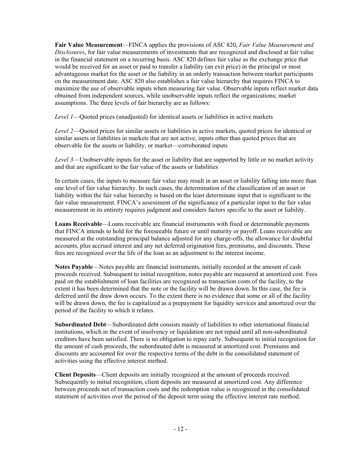**Fair Value Measurement**—FINCA applies the provisions of ASC 820, *Fair Value Measurement and Disclosures*, for fair value measurements of investments that are recognized and disclosed at fair value in the financial statement on a recurring basis. ASC 820 defines fair value as the exchange price that would be received for an asset or paid to transfer a liability (an exit price) in the principal or most advantageous market for the asset or the liability in an orderly transaction between market participants on the measurement date. ASC 820 also establishes a fair value hierarchy that requires FINCA to maximize the use of observable inputs when measuring fair value. Observable inputs reflect market data obtained from independent sources, while unobservable inputs reflect the organizations; market assumptions. The three levels of fair hierarchy are as follows:

*Level 1*—Quoted prices (unadjusted) for identical assets or liabilities in active markets

*Level 2*—Quoted prices for similar assets or liabilities in active markets, quoted prices for identical or similar assets or liabilities in markets that are not active, inputs other than quoted prices that are observable for the assets or liability, or market—corroborated inputs

*Level 3*—Unobservable inputs for the asset or liability that are supported by little or no market activity and that are significant to the fair value of the assets or liabilities

In certain cases, the inputs to measure fair value may result in an asset or liability falling into more than one level of fair value hierarchy. In such cases, the determination of the classification of an asset or liability within the fair value hierarchy is based on the least determinate input that is significant to the fair value measurement. FINCA's assessment of the significance of a particular input to the fair value measurement in its entirety requires judgment and considers factors specific to the asset or liability.

**Loans Receivable**—Loans receivable are financial instruments with fixed or determinable payments that FINCA intends to hold for the foreseeable future or until maturity or payoff. Loans receivable are measured at the outstanding principal balance adjusted for any charge-offs, the allowance for doubtful accounts, plus accrued interest and any net deferred origination fees, premiums, and discounts. These fees are recognized over the life of the loan as an adjustment to the interest income.

**Notes Payable**—Notes payable are financial instruments, initially recorded at the amount of cash proceeds received. Subsequent to initial recognition, notes payable are measured at amortized cost. Fees paid on the establishment of loan facilities are recognized as transaction costs of the facility, to the extent it has been determined that the note or the facility will be drawn down. In this case, the fee is deferred until the draw down occurs. To the extent there is no evidence that some or all of the facility will be drawn down, the fee is capitalized as a prepayment for liquidity services and amortized over the period of the facility to which it relates.

**Subordinated Debt**—Subordinated debt consists mainly of liabilities to other international financial institutions, which in the event of insolvency or liquidation are not repaid until all non-subordinated creditors have been satisfied. There is no obligation to repay early. Subsequent to initial recognition for the amount of cash proceeds, the subordinated debt is measured at amortized cost. Premiums and discounts are accounted for over the respective terms of the debt in the consolidated statement of activities using the effective interest method.

**Client Deposits**—Client deposits are initially recognized at the amount of proceeds received. Subsequently to initial recognition, client deposits are measured at amortized cost. Any difference between proceeds net of transaction costs and the redemption value is recognized in the consolidated statement of activities over the period of the deposit term using the effective interest rate method.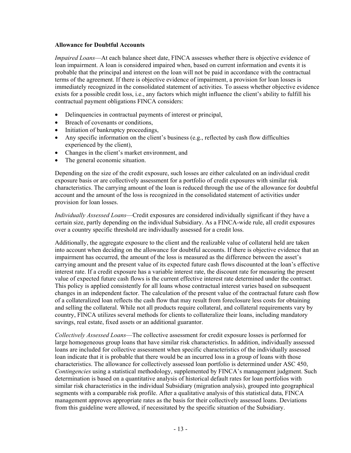#### **Allowance for Doubtful Accounts**

*Impaired Loans*—At each balance sheet date, FINCA assesses whether there is objective evidence of loan impairment. A loan is considered impaired when, based on current information and events it is probable that the principal and interest on the loan will not be paid in accordance with the contractual terms of the agreement. If there is objective evidence of impairment, a provision for loan losses is immediately recognized in the consolidated statement of activities. To assess whether objective evidence exists for a possible credit loss, i.e., any factors which might influence the client's ability to fulfill his contractual payment obligations FINCA considers:

- Delinquencies in contractual payments of interest or principal,
- Breach of covenants or conditions.
- Initiation of bankruptcy proceedings,
- Any specific information on the client's business (e.g., reflected by cash flow difficulties experienced by the client),
- Changes in the client's market environment, and
- The general economic situation.

Depending on the size of the credit exposure, such losses are either calculated on an individual credit exposure basis or are collectively assessment for a portfolio of credit exposures with similar risk characteristics. The carrying amount of the loan is reduced through the use of the allowance for doubtful account and the amount of the loss is recognized in the consolidated statement of activities under provision for loan losses.

*Individually Assessed Loans*—Credit exposures are considered individually significant if they have a certain size, partly depending on the individual Subsidiary. As a FINCA-wide rule, all credit exposures over a country specific threshold are individually assessed for a credit loss.

Additionally, the aggregate exposure to the client and the realizable value of collateral held are taken into account when deciding on the allowance for doubtful accounts. If there is objective evidence that an impairment has occurred, the amount of the loss is measured as the difference between the asset's carrying amount and the present value of its expected future cash flows discounted at the loan's effective interest rate. If a credit exposure has a variable interest rate, the discount rate for measuring the present value of expected future cash flows is the current effective interest rate determined under the contract. This policy is applied consistently for all loans whose contractual interest varies based on subsequent changes in an independent factor. The calculation of the present value of the contractual future cash flow of a collateralized loan reflects the cash flow that may result from foreclosure less costs for obtaining and selling the collateral. While not all products require collateral, and collateral requirements vary by country, FINCA utilizes several methods for clients to collateralize their loans, including mandatory savings, real estate, fixed assets or an additional guarantor.

*Collectively Assessed Loans*—The collective assessment for credit exposure losses is performed for large homogeneous group loans that have similar risk characteristics. In addition, individually assessed loans are included for collective assessment when specific characteristics of the individually assessed loan indicate that it is probable that there would be an incurred loss in a group of loans with those characteristics. The allowance for collectively assessed loan portfolio is determined under ASC 450, *Contingencies* using a statistical methodology, supplemented by FINCA's management judgment. Such determination is based on a quantitative analysis of historical default rates for loan portfolios with similar risk characteristics in the individual Subsidiary (migration analysis), grouped into geographical segments with a comparable risk profile. After a qualitative analysis of this statistical data, FINCA management approves appropriate rates as the basis for their collectively assessed loans. Deviations from this guideline were allowed, if necessitated by the specific situation of the Subsidiary.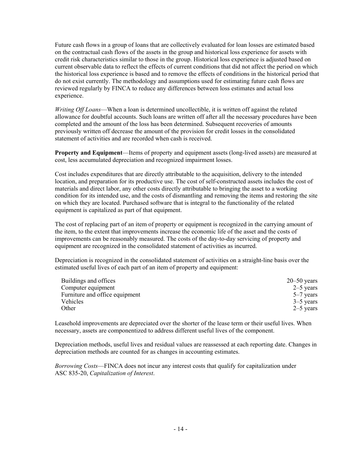Future cash flows in a group of loans that are collectively evaluated for loan losses are estimated based on the contractual cash flows of the assets in the group and historical loss experience for assets with credit risk characteristics similar to those in the group. Historical loss experience is adjusted based on current observable data to reflect the effects of current conditions that did not affect the period on which the historical loss experience is based and to remove the effects of conditions in the historical period that do not exist currently. The methodology and assumptions used for estimating future cash flows are reviewed regularly by FINCA to reduce any differences between loss estimates and actual loss experience.

*Writing Off Loans*—When a loan is determined uncollectible, it is written off against the related allowance for doubtful accounts. Such loans are written off after all the necessary procedures have been completed and the amount of the loss has been determined. Subsequent recoveries of amounts previously written off decrease the amount of the provision for credit losses in the consolidated statement of activities and are recorded when cash is received.

**Property and Equipment**—Items of property and equipment assets (long-lived assets) are measured at cost, less accumulated depreciation and recognized impairment losses.

Cost includes expenditures that are directly attributable to the acquisition, delivery to the intended location, and preparation for its productive use. The cost of self-constructed assets includes the cost of materials and direct labor, any other costs directly attributable to bringing the asset to a working condition for its intended use, and the costs of dismantling and removing the items and restoring the site on which they are located. Purchased software that is integral to the functionality of the related equipment is capitalized as part of that equipment.

The cost of replacing part of an item of property or equipment is recognized in the carrying amount of the item, to the extent that improvements increase the economic life of the asset and the costs of improvements can be reasonably measured. The costs of the day-to-day servicing of property and equipment are recognized in the consolidated statement of activities as incurred.

Depreciation is recognized in the consolidated statement of activities on a straight-line basis over the estimated useful lives of each part of an item of property and equipment:

| Buildings and offices          | $20 - 50$ years |
|--------------------------------|-----------------|
| Computer equipment             | $2-5$ years     |
| Furniture and office equipment | $5-7$ years     |
| Vehicles                       | $3-5$ years     |
| Other                          | $2-5$ years     |

Leasehold improvements are depreciated over the shorter of the lease term or their useful lives. When necessary, assets are componentized to address different useful lives of the component.

Depreciation methods, useful lives and residual values are reassessed at each reporting date. Changes in depreciation methods are counted for as changes in accounting estimates.

*Borrowing Costs*—FINCA does not incur any interest costs that qualify for capitalization under ASC 835-20, *Capitalization of Interest*.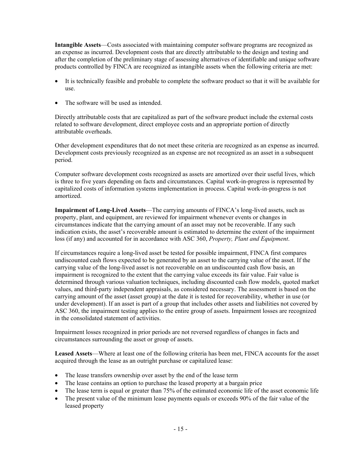**Intangible Assets**—Costs associated with maintaining computer software programs are recognized as an expense as incurred. Development costs that are directly attributable to the design and testing and after the completion of the preliminary stage of assessing alternatives of identifiable and unique software products controlled by FINCA are recognized as intangible assets when the following criteria are met:

- It is technically feasible and probable to complete the software product so that it will be available for use.
- The software will be used as intended.

Directly attributable costs that are capitalized as part of the software product include the external costs related to software development, direct employee costs and an appropriate portion of directly attributable overheads.

Other development expenditures that do not meet these criteria are recognized as an expense as incurred. Development costs previously recognized as an expense are not recognized as an asset in a subsequent period.

Computer software development costs recognized as assets are amortized over their useful lives, which is three to five years depending on facts and circumstances. Capital work-in-progress is represented by capitalized costs of information systems implementation in process. Capital work-in-progress is not amortized.

**Impairment of Long-Lived Assets**—The carrying amounts of FINCA's long-lived assets, such as property, plant, and equipment, are reviewed for impairment whenever events or changes in circumstances indicate that the carrying amount of an asset may not be recoverable. If any such indication exists, the asset's recoverable amount is estimated to determine the extent of the impairment loss (if any) and accounted for in accordance with ASC 360, *Property, Plant and Equipment*.

If circumstances require a long-lived asset be tested for possible impairment, FINCA first compares undiscounted cash flows expected to be generated by an asset to the carrying value of the asset. If the carrying value of the long-lived asset is not recoverable on an undiscounted cash flow basis, an impairment is recognized to the extent that the carrying value exceeds its fair value. Fair value is determined through various valuation techniques, including discounted cash flow models, quoted market values, and third-party independent appraisals, as considered necessary. The assessment is based on the carrying amount of the asset (asset group) at the date it is tested for recoverability, whether in use (or under development). If an asset is part of a group that includes other assets and liabilities not covered by ASC 360, the impairment testing applies to the entire group of assets. Impairment losses are recognized in the consolidated statement of activities.

Impairment losses recognized in prior periods are not reversed regardless of changes in facts and circumstances surrounding the asset or group of assets.

**Leased Assets**—Where at least one of the following criteria has been met, FINCA accounts for the asset acquired through the lease as an outright purchase or capitalized lease:

- The lease transfers ownership over asset by the end of the lease term
- The lease contains an option to purchase the leased property at a bargain price
- The lease term is equal or greater than 75% of the estimated economic life of the asset economic life
- The present value of the minimum lease payments equals or exceeds 90% of the fair value of the leased property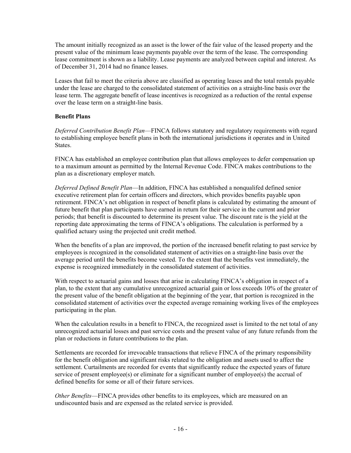The amount initially recognized as an asset is the lower of the fair value of the leased property and the present value of the minimum lease payments payable over the term of the lease. The corresponding lease commitment is shown as a liability. Lease payments are analyzed between capital and interest. As of December 31, 2014 had no finance leases.

Leases that fail to meet the criteria above are classified as operating leases and the total rentals payable under the lease are charged to the consolidated statement of activities on a straight-line basis over the lease term. The aggregate benefit of lease incentives is recognized as a reduction of the rental expense over the lease term on a straight-line basis.

#### **Benefit Plans**

*Deferred Contribution Benefit Plan*—FINCA follows statutory and regulatory requirements with regard to establishing employee benefit plans in both the international jurisdictions it operates and in United States.

FINCA has established an employee contribution plan that allows employees to defer compensation up to a maximum amount as permitted by the Internal Revenue Code. FINCA makes contributions to the plan as a discretionary employer match.

*Deferred Defined Benefit Plan*—In addition, FINCA has established a nonqualifed defined senior executive retirement plan for certain officers and directors, which provides benefits payable upon retirement. FINCA's net obligation in respect of benefit plans is calculated by estimating the amount of future benefit that plan participants have earned in return for their service in the current and prior periods; that benefit is discounted to determine its present value. The discount rate is the yield at the reporting date approximating the terms of FINCA's obligations. The calculation is performed by a qualified actuary using the projected unit credit method.

When the benefits of a plan are improved, the portion of the increased benefit relating to past service by employees is recognized in the consolidated statement of activities on a straight-line basis over the average period until the benefits become vested. To the extent that the benefits vest immediately, the expense is recognized immediately in the consolidated statement of activities.

With respect to actuarial gains and losses that arise in calculating FINCA's obligation in respect of a plan, to the extent that any cumulative unrecognized actuarial gain or loss exceeds 10% of the greater of the present value of the benefit obligation at the beginning of the year, that portion is recognized in the consolidated statement of activities over the expected average remaining working lives of the employees participating in the plan.

When the calculation results in a benefit to FINCA, the recognized asset is limited to the net total of any unrecognized actuarial losses and past service costs and the present value of any future refunds from the plan or reductions in future contributions to the plan.

Settlements are recorded for irrevocable transactions that relieve FINCA of the primary responsibility for the benefit obligation and significant risks related to the obligation and assets used to affect the settlement. Curtailments are recorded for events that significantly reduce the expected years of future service of present employee(s) or eliminate for a significant number of employee(s) the accrual of defined benefits for some or all of their future services.

*Other Benefits*—FINCA provides other benefits to its employees, which are measured on an undiscounted basis and are expensed as the related service is provided.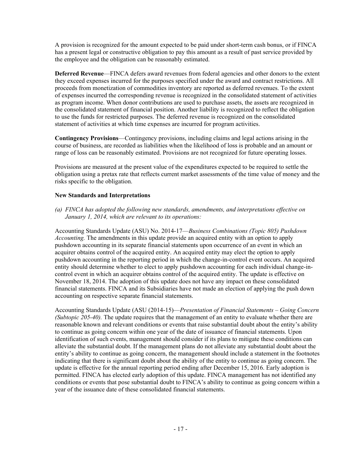A provision is recognized for the amount expected to be paid under short-term cash bonus, or if FINCA has a present legal or constructive obligation to pay this amount as a result of past service provided by the employee and the obligation can be reasonably estimated.

**Deferred Revenue**—FINCA defers award revenues from federal agencies and other donors to the extent they exceed expenses incurred for the purposes specified under the award and contract restrictions. All proceeds from monetization of commodities inventory are reported as deferred revenues. To the extent of expenses incurred the corresponding revenue is recognized in the consolidated statement of activities as program income. When donor contributions are used to purchase assets, the assets are recognized in the consolidated statement of financial position. Another liability is recognized to reflect the obligation to use the funds for restricted purposes. The deferred revenue is recognized on the consolidated statement of activities at which time expenses are incurred for program activities.

**Contingency Provisions**—Contingency provisions, including claims and legal actions arising in the course of business, are recorded as liabilities when the likelihood of loss is probable and an amount or range of loss can be reasonably estimated. Provisions are not recognized for future operating losses.

Provisions are measured at the present value of the expenditures expected to be required to settle the obligation using a pretax rate that reflects current market assessments of the time value of money and the risks specific to the obligation.

#### **New Standards and Interpretations**

*(a) FINCA has adopted the following new standards, amendments, and interpretations effective on January 1, 2014, which are relevant to its operations:* 

Accounting Standards Update (ASU) No. 2014-17—*Business Combinations (Topic 805) Pushdown Accounting.* The amendments in this update provide an acquired entity with an option to apply pushdown accounting in its separate financial statements upon occurrence of an event in which an acquirer obtains control of the acquired entity. An acquired entity may elect the option to apply pushdown accounting in the reporting period in which the change-in-control event occurs. An acquired entity should determine whether to elect to apply pushdown accounting for each individual change-incontrol event in which an acquirer obtains control of the acquired entity. The update is effective on November 18, 2014. The adoption of this update does not have any impact on these consolidated financial statements. FINCA and its Subsidiaries have not made an election of applying the push down accounting on respective separate financial statements.

Accounting Standards Update (ASU (2014-15)—*Presentation of Financial Statements – Going Concern (Subtopic 205-40).* The update requires that the management of an entity to evaluate whether there are reasonable known and relevant conditions or events that raise substantial doubt about the entity's ability to continue as going concern within one year of the date of issuance of financial statements. Upon identification of such events, management should consider if its plans to mitigate these conditions can alleviate the substantial doubt. If the management plans do not alleviate any substantial doubt about the entity's ability to continue as going concern, the management should include a statement in the footnotes indicating that there is significant doubt about the ability of the entity to continue as going concern. The update is effective for the annual reporting period ending after December 15, 2016. Early adoption is permitted. FINCA has elected early adoption of this update. FINCA management has not identified any conditions or events that pose substantial doubt to FINCA's ability to continue as going concern within a year of the issuance date of these consolidated financial statements.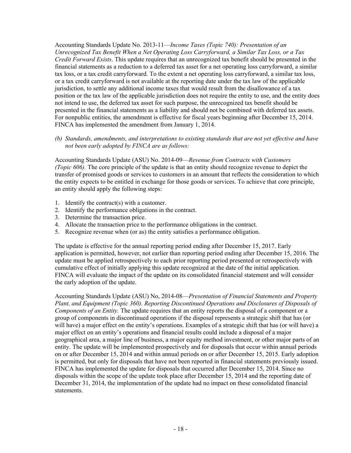Accounting Standards Update No. 2013-11—*Income Taxes (Topic 740): Presentation of an Unrecognized Tax Benefit When a Net Operating Loss Carryforward, a Similar Tax Loss, or a Tax Credit Forward Exists*. This update requires that an unrecognized tax benefit should be presented in the financial statements as a reduction to a deferred tax asset for a net operating loss carryforward, a similar tax loss, or a tax credit carryforward. To the extent a net operating loss carryforward, a similar tax loss, or a tax credit carryforward is not available at the reporting date under the tax law of the applicable jurisdiction, to settle any additional income taxes that would result from the disallowance of a tax position or the tax law of the applicable jurisdiction does not require the entity to use, and the entity does not intend to use, the deferred tax asset for such purpose, the unrecognized tax benefit should be presented in the financial statements as a liability and should not be combined with deferred tax assets. For nonpublic entities, the amendment is effective for fiscal years beginning after December 15, 2014. FINCA has implemented the amendment from January 1, 2014.

*(b) Standards, amendments, and interpretations to existing standards that are not yet effective and have not been early adopted by FINCA are as follows:* 

Accounting Standards Update (ASU) No. 2014-09—*Revenue from Contracts with Customers (Topic 606).* The core principle of the update is that an entity should recognize revenue to depict the transfer of promised goods or services to customers in an amount that reflects the consideration to which the entity expects to be entitled in exchange for those goods or services. To achieve that core principle, an entity should apply the following steps:

- 1. Identify the contract(s) with a customer.
- 2. Identify the performance obligations in the contract.
- 3. Determine the transaction price.
- 4. Allocate the transaction price to the performance obligations in the contract.
- 5. Recognize revenue when (or as) the entity satisfies a performance obligation.

The update is effective for the annual reporting period ending after December 15, 2017. Early application is permitted, however, not earlier than reporting period ending after December 15, 2016. The update must be applied retrospectively to each prior reporting period presented or retrospectively with cumulative effect of initially applying this update recognized at the date of the initial application. FINCA will evaluate the impact of the update on its consolidated financial statement and will consider the early adoption of the update.

Accounting Standards Update (ASU) No, 2014-08—*Presentation of Financial Statements and Property Plant, and Equipment (Topic 360). Reporting Discontinued Operations and Disclosures of Disposals of Components of an Entity.* The update requires that an entity reports the disposal of a component or a group of components in discontinued operations if the disposal represents a strategic shift that has (or will have) a major effect on the entity's operations. Examples of a strategic shift that has (or will have) a major effect on an entity's operations and financial results could include a disposal of a major geographical area, a major line of business, a major equity method investment, or other major parts of an entity. The update will be implemented prospectively and for disposals that occur within annual periods on or after December 15, 2014 and within annual periods on or after December 15, 2015. Early adoption is permitted, but only for disposals that have not been reported in financial statements previously issued. FINCA has implemented the update for disposals that occurred after December 15, 2014. Since no disposals within the scope of the update took place after December 15, 2014 and the reporting date of December 31, 2014, the implementation of the update had no impact on these consolidated financial statements.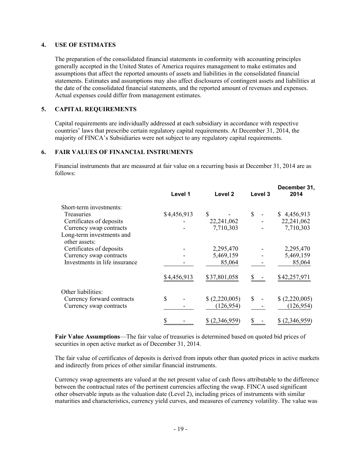#### **4. USE OF ESTIMATES**

The preparation of the consolidated financial statements in conformity with accounting principles generally accepted in the United States of America requires management to make estimates and assumptions that affect the reported amounts of assets and liabilities in the consolidated financial statements. Estimates and assumptions may also affect disclosures of contingent assets and liabilities at the date of the consolidated financial statements, and the reported amount of revenues and expenses. Actual expenses could differ from management estimates.

#### **5. CAPITAL REQUIREMENTS**

Capital requirements are individually addressed at each subsidiary in accordance with respective countries' laws that prescribe certain regulatory capital requirements. At December 31, 2014, the majority of FINCA's Subsidiaries were not subject to any regulatory capital requirements.

#### **6. FAIR VALUES OF FINANCIAL INSTRUMENTS**

Financial instruments that are measured at fair value on a recurring basis at December 31, 2014 are as follows:

| Level 1     | Level <sub>2</sub> | Level 3 | December 31,<br>2014 |
|-------------|--------------------|---------|----------------------|
|             |                    |         |                      |
| \$4,456,913 | \$                 | \$      | \$4,456,913          |
|             | 22,241,062         |         | 22,241,062           |
|             | 7,710,303          |         | 7,710,303            |
|             |                    |         |                      |
|             | 2,295,470          |         | 2,295,470            |
|             | 5,469,159          |         | 5,469,159            |
|             | 85,064             |         | 85,064               |
| \$4,456,913 | \$37,801,058       |         | \$42,257,971         |
|             |                    |         |                      |
| $\mathbf S$ | (2,220,005)        | \$      | (2,220,005)          |
|             | (126, 954)         |         | (126, 954)           |
|             | \$ (2,346,959)     |         | \$ (2,346,959)       |
|             |                    |         |                      |

**Fair Value Assumptions**—The fair value of treasuries is determined based on quoted bid prices of securities in open active market as of December 31, 2014.

The fair value of certificates of deposits is derived from inputs other than quoted prices in active markets and indirectly from prices of other similar financial instruments.

Currency swap agreements are valued at the net present value of cash flows attributable to the difference between the contractual rates of the pertinent currencies affecting the swap. FINCA used significant other observable inputs as the valuation date (Level 2), including prices of instruments with similar maturities and characteristics, currency yield curves, and measures of currency volatility. The value was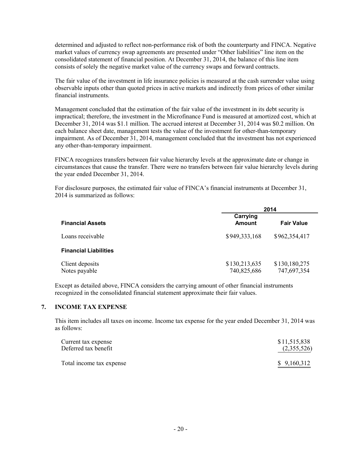determined and adjusted to reflect non-performance risk of both the counterparty and FINCA. Negative market values of currency swap agreements are presented under "Other liabilities" line item on the consolidated statement of financial position. At December 31, 2014, the balance of this line item consists of solely the negative market value of the currency swaps and forward contracts.

The fair value of the investment in life insurance policies is measured at the cash surrender value using observable inputs other than quoted prices in active markets and indirectly from prices of other similar financial instruments.

Management concluded that the estimation of the fair value of the investment in its debt security is impractical; therefore, the investment in the Microfinance Fund is measured at amortized cost, which at December 31, 2014 was \$1.1 million. The accrued interest at December 31, 2014 was \$0.2 million. On each balance sheet date, management tests the value of the investment for other-than-temporary impairment. As of December 31, 2014, management concluded that the investment has not experienced any other-than-temporary impairment.

FINCA recognizes transfers between fair value hierarchy levels at the approximate date or change in circumstances that cause the transfer. There were no transfers between fair value hierarchy levels during the year ended December 31, 2014.

For disclosure purposes, the estimated fair value of FINCA's financial instruments at December 31, 2014 is summarized as follows:

|                                  |                              | 2014                         |  |
|----------------------------------|------------------------------|------------------------------|--|
| <b>Financial Assets</b>          | Carrying<br><b>Amount</b>    | <b>Fair Value</b>            |  |
| Loans receivable                 | \$949,333,168                | \$962,354,417                |  |
| <b>Financial Liabilities</b>     |                              |                              |  |
| Client deposits<br>Notes payable | \$130,213,635<br>740,825,686 | \$130,180,275<br>747,697,354 |  |

Except as detailed above, FINCA considers the carrying amount of other financial instruments recognized in the consolidated financial statement approximate their fair values.

#### **7. INCOME TAX EXPENSE**

This item includes all taxes on income. Income tax expense for the year ended December 31, 2014 was as follows:

| Current tax expense      | \$11,515,838 |
|--------------------------|--------------|
| Deferred tax benefit     | (2,355,526)  |
| Total income tax expense | \$9,160,312  |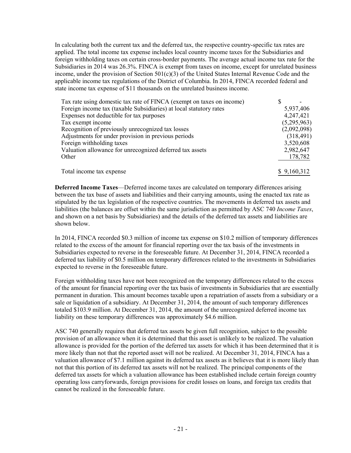In calculating both the current tax and the deferred tax, the respective country-specific tax rates are applied. The total income tax expense includes local country income taxes for the Subsidiaries and foreign withholding taxes on certain cross-border payments. The average actual income tax rate for the Subsidiaries in 2014 was 26.3%. FINCA is exempt from taxes on income, except for unrelated business income, under the provision of Section  $501(c)(3)$  of the United States Internal Revenue Code and the applicable income tax regulations of the District of Columbia. In 2014, FINCA recorded federal and state income tax expense of \$11 thousands on the unrelated business income.

| Tax rate using domestic tax rate of FINCA (exempt on taxes on income) |             |
|-----------------------------------------------------------------------|-------------|
| Foreign income tax (taxable Subsidiaries) at local statutory rates    | 5,937,406   |
| Expenses not deductible for tax purposes                              | 4,247,421   |
| Tax exempt income                                                     | (5,295,963) |
| Recognition of previously unrecognized tax losses                     | (2,092,098) |
| Adjustments for under provision in previous periods                   | (318, 491)  |
| Foreign withholding taxes                                             | 3,520,608   |
| Valuation allowance for unrecognized deferred tax assets              | 2,982,647   |
| Other                                                                 | 178,782     |
| Total income tax expense                                              | \$9,160,312 |

**Deferred Income Taxes**—Deferred income taxes are calculated on temporary differences arising between the tax base of assets and liabilities and their carrying amounts, using the enacted tax rate as stipulated by the tax legislation of the respective countries. The movements in deferred tax assets and liabilities (the balances are offset within the same jurisdiction as permitted by ASC 740 *Income Taxes*, and shown on a net basis by Subsidiaries) and the details of the deferred tax assets and liabilities are shown below.

In 2014, FINCA recorded \$0.3 million of income tax expense on \$10.2 million of temporary differences related to the excess of the amount for financial reporting over the tax basis of the investments in Subsidiaries expected to reverse in the foreseeable future. At December 31, 2014, FINCA recorded a deferred tax liability of \$0.5 million on temporary differences related to the investments in Subsidiaries expected to reverse in the foreseeable future.

Foreign withholding taxes have not been recognized on the temporary differences related to the excess of the amount for financial reporting over the tax basis of investments in Subsidiaries that are essentially permanent in duration. This amount becomes taxable upon a repatriation of assets from a subsidiary or a sale or liquidation of a subsidiary. At December 31, 2014, the amount of such temporary differences totaled \$103.9 million. At December 31, 2014, the amount of the unrecognized deferred income tax liability on these temporary differences was approximately \$4.6 million.

ASC 740 generally requires that deferred tax assets be given full recognition, subject to the possible provision of an allowance when it is determined that this asset is unlikely to be realized. The valuation allowance is provided for the portion of the deferred tax assets for which it has been determined that it is more likely than not that the reported asset will not be realized. At December 31, 2014, FINCA has a valuation allowance of \$7.1 million against its deferred tax assets as it believes that it is more likely than not that this portion of its deferred tax assets will not be realized. The principal components of the deferred tax assets for which a valuation allowance has been established include certain foreign country operating loss carryforwards, foreign provisions for credit losses on loans, and foreign tax credits that cannot be realized in the foreseeable future.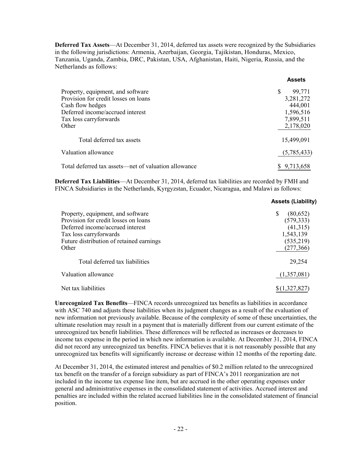**Deferred Tax Assets**—At December 31, 2014, deferred tax assets were recognized by the Subsidiaries in the following jurisdictions: Armenia, Azerbaijan, Georgia, Tajikistan, Honduras, Mexico, Tanzania, Uganda, Zambia, DRC, Pakistan, USA, Afghanistan, Haiti, Nigeria, Russia, and the Netherlands as follows:

**Assets**

|                                                      | A55615       |
|------------------------------------------------------|--------------|
| Property, equipment, and software                    | S.<br>99,771 |
| Provision for credit losses on loans                 | 3,281,272    |
| Cash flow hedges                                     | 444,001      |
| Deferred income/accrued interest                     | 1,596,516    |
| Tax loss carryforwards                               | 7,899,511    |
| Other                                                | 2,178,020    |
| Total deferred tax assets                            | 15,499,091   |
| Valuation allowance                                  | (5,785,433)  |
| Total deferred tax assets—net of valuation allowance | \$9,713,658  |

**Deferred Tax Liabilities**—At December 31, 2014, deferred tax liabilities are recorded by FMH and FINCA Subsidiaries in the Netherlands, Kyrgyzstan, Ecuador, Nicaragua, and Malawi as follows:

|                                                                                                                                                                                              | <b>Assets (Liability)</b>                                                          |
|----------------------------------------------------------------------------------------------------------------------------------------------------------------------------------------------|------------------------------------------------------------------------------------|
| Property, equipment, and software<br>Provision for credit losses on loans<br>Deferred income/accrued interest<br>Tax loss carryforwards<br>Future distribution of retained earnings<br>Other | S<br>(80, 652)<br>(579, 333)<br>(41, 315)<br>1,543,139<br>(535, 219)<br>(277, 366) |
| Total deferred tax liabilities                                                                                                                                                               | 29,254                                                                             |
| Valuation allowance                                                                                                                                                                          | (1,357,081)                                                                        |
| Net tax liabilities                                                                                                                                                                          | \$(1,327,827)                                                                      |

**Unrecognized Tax Benefits**—FINCA records unrecognized tax benefits as liabilities in accordance with ASC 740 and adjusts these liabilities when its judgment changes as a result of the evaluation of new information not previously available. Because of the complexity of some of these uncertainties, the ultimate resolution may result in a payment that is materially different from our current estimate of the unrecognized tax benefit liabilities. These differences will be reflected as increases or decreases to income tax expense in the period in which new information is available. At December 31, 2014, FINCA did not record any unrecognized tax benefits. FINCA believes that it is not reasonably possible that any unrecognized tax benefits will significantly increase or decrease within 12 months of the reporting date.

At December 31, 2014, the estimated interest and penalties of \$0.2 million related to the unrecognized tax benefit on the transfer of a foreign subsidiary as part of FINCA's 2011 reorganization are not included in the income tax expense line item, but are accrued in the other operating expenses under general and administrative expenses in the consolidated statement of activities. Accrued interest and penalties are included within the related accrued liabilities line in the consolidated statement of financial position.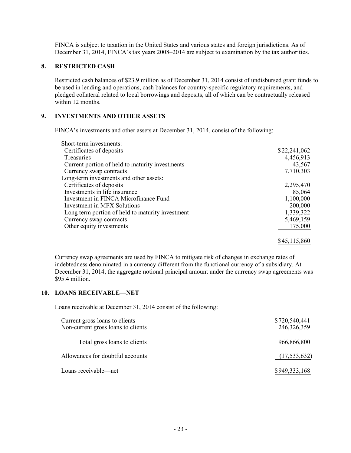FINCA is subject to taxation in the United States and various states and foreign jurisdictions. As of December 31, 2014, FINCA's tax years 2008–2014 are subject to examination by the tax authorities.

#### **8. RESTRICTED CASH**

Restricted cash balances of \$23.9 million as of December 31, 2014 consist of undisbursed grant funds to be used in lending and operations, cash balances for country-specific regulatory requirements, and pledged collateral related to local borrowings and deposits, all of which can be contractually released within 12 months.

#### **9. INVESTMENTS AND OTHER ASSETS**

FINCA's investments and other assets at December 31, 2014, consist of the following:

| Short-term investments:                          |              |
|--------------------------------------------------|--------------|
| Certificates of deposits                         | \$22,241,062 |
| Treasuries                                       | 4,456,913    |
| Current portion of held to maturity investments  | 43,567       |
| Currency swap contracts                          | 7,710,303    |
| Long-term investments and other assets:          |              |
| Certificates of deposits                         | 2,295,470    |
| Investments in life insurance                    | 85,064       |
| Investment in FINCA Microfinance Fund            | 1,100,000    |
| Investment in MFX Solutions                      | 200,000      |
| Long term portion of held to maturity investment | 1,339,322    |
| Currency swap contracts                          | 5,469,159    |
| Other equity investments                         | 175,000      |
|                                                  |              |

Currency swap agreements are used by FINCA to mitigate risk of changes in exchange rates of indebtedness denominated in a currency different from the functional currency of a subsidiary. At December 31, 2014, the aggregate notional principal amount under the currency swap agreements was \$95.4 million.

\$45,115,860

#### **10. LOANS RECEIVABLE―NET**

Loans receivable at December 31, 2014 consist of the following:

| Current gross loans to clients<br>Non-current gross loans to clients | \$720,540,441<br>246, 326, 359 |
|----------------------------------------------------------------------|--------------------------------|
| Total gross loans to clients                                         | 966,866,800                    |
| Allowances for doubtful accounts                                     | (17, 533, 632)                 |
| Loans receivable—net                                                 | \$949,333,168                  |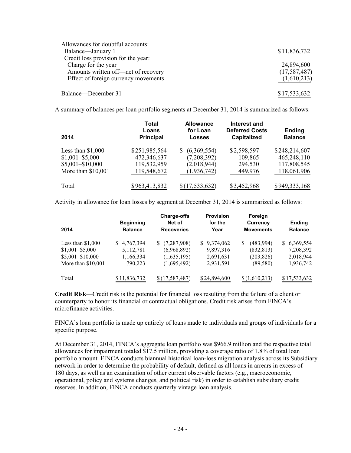| Allowances for doubtful accounts:    |                |
|--------------------------------------|----------------|
| Balance—January 1                    | \$11,836,732   |
| Credit loss provision for the year:  |                |
| Charge for the year                  | 24,894,600     |
| Amounts written off—net of recovery  | (17, 587, 487) |
| Effect of foreign currency movements | (1,610,213)    |
| Balance—December 31                  | \$17,533,632   |

A summary of balances per loan portfolio segments at December 31, 2014 is summarized as follows:

| 2014                | Total<br>Loans<br><b>Principal</b> | <b>Allowance</b><br>for Loan<br><b>Losses</b> | <b>Interest and</b><br><b>Deferred Costs</b><br>Capitalized | <b>Ending</b><br><b>Balance</b> |
|---------------------|------------------------------------|-----------------------------------------------|-------------------------------------------------------------|---------------------------------|
| Less than $$1,000$  | \$251,985,564                      | (6,369,554)<br>S.                             | \$2,598,597                                                 | \$248,214,607                   |
| $$1,001 - $5,000$   | 472,346,637                        | (7,208,392)                                   | 109,865                                                     | 465,248,110                     |
| $$5,001 - $10,000$  | 119,532,959                        | (2,018,944)                                   | 294,530                                                     | 117,808,545                     |
| More than $$10,001$ | 119,548,672                        | (1,936,742)                                   | 449,976                                                     | 118,061,906                     |
| Total               | \$963,413,832                      | \$(17,533,632)                                | \$3,452,968                                                 | \$949,333,168                   |

Activity in allowance for loan losses by segment at December 31, 2014 is summarized as follows:

| 2014                                    | <b>Beginning</b><br><b>Balance</b> | <b>Charge-offs</b><br>Net of<br><b>Recoveries</b> | <b>Provision</b><br>for the<br>Year | Foreign<br><b>Currency</b><br><b>Movements</b> | <b>Ending</b><br><b>Balance</b> |
|-----------------------------------------|------------------------------------|---------------------------------------------------|-------------------------------------|------------------------------------------------|---------------------------------|
| Less than $$1,000$                      | 4,767,394<br>S.                    | (7, 287, 908)<br>S.                               | \$9,374,062                         | (483,994)<br>S.                                | 6,369,554<br>S.                 |
| $$1,001 - $5,000$<br>$$5,001 - $10,000$ | 5,112,781<br>1,166,334             | (6,968,892)<br>(1,635,195)                        | 9,897,316<br>2,691,631              | (832, 813)<br>(203, 826)                       | 7,208,392<br>2,018,944          |
| More than $$10,001$                     | 790,223                            | (1,695,492)                                       | 2,931,591                           | (89, 580)                                      | 1,936,742                       |
| Total                                   | \$11,836,732                       | \$(17, 587, 487)                                  | \$24,894,600                        | \$(1,610,213)                                  | \$17,533,632                    |

**Credit Risk**—Credit risk is the potential for financial loss resulting from the failure of a client or counterparty to honor its financial or contractual obligations. Credit risk arises from FINCA's microfinance activities.

FINCA's loan portfolio is made up entirely of loans made to individuals and groups of individuals for a specific purpose.

At December 31, 2014, FINCA's aggregate loan portfolio was \$966.9 million and the respective total allowances for impairment totaled \$17.5 million, providing a coverage ratio of 1.8% of total loan portfolio amount. FINCA conducts biannual historical loan-loss migration analysis across its Subsidiary network in order to determine the probability of default, defined as all loans in arrears in excess of 180 days, as well as an examination of other current observable factors (e.g., macroeconomic, operational, policy and systems changes, and political risk) in order to establish subsidiary credit reserves. In addition, FINCA conducts quarterly vintage loan analysis.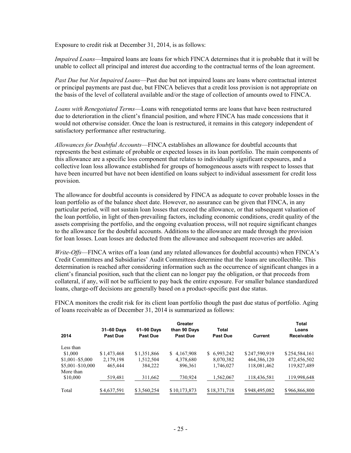Exposure to credit risk at December 31, 2014, is as follows:

*Impaired Loans*—Impaired loans are loans for which FINCA determines that it is probable that it will be unable to collect all principal and interest due according to the contractual terms of the loan agreement.

*Past Due but Not Impaired Loans*—Past due but not impaired loans are loans where contractual interest or principal payments are past due, but FINCA believes that a credit loss provision is not appropriate on the basis of the level of collateral available and/or the stage of collection of amounts owed to FINCA.

*Loans with Renegotiated Terms*—Loans with renegotiated terms are loans that have been restructured due to deterioration in the client's financial position, and where FINCA has made concessions that it would not otherwise consider. Once the loan is restructured, it remains in this category independent of satisfactory performance after restructuring.

*Allowances for Doubtful Accounts*—FINCA establishes an allowance for doubtful accounts that represents the best estimate of probable or expected losses in its loan portfolio. The main components of this allowance are a specific loss component that relates to individually significant exposures, and a collective loan loss allowance established for groups of homogeneous assets with respect to losses that have been incurred but have not been identified on loans subject to individual assessment for credit loss provision.

The allowance for doubtful accounts is considered by FINCA as adequate to cover probable losses in the loan portfolio as of the balance sheet date. However, no assurance can be given that FINCA, in any particular period, will not sustain loan losses that exceed the allowance, or that subsequent valuation of the loan portfolio, in light of then-prevailing factors, including economic conditions, credit quality of the assets comprising the portfolio, and the ongoing evaluation process, will not require significant changes to the allowance for the doubtful accounts. Additions to the allowance are made through the provision for loan losses. Loan losses are deducted from the allowance and subsequent recoveries are added.

*Write-Offs*—FINCA writes off a loan (and any related allowances for doubtful accounts) when FINCA's Credit Committees and Subsidiaries' Audit Committees determine that the loans are uncollectible. This determination is reached after considering information such as the occurrence of significant changes in a client's financial position, such that the client can no longer pay the obligation, or that proceeds from collateral, if any, will not be sufficient to pay back the entire exposure. For smaller balance standardized loans, charge-off decisions are generally based on a product-specific past due status.

FINCA monitors the credit risk for its client loan portfolio though the past due status of portfolio. Aging of loans receivable as of December 31, 2014 is summarized as follows:

| 2014               | 31-60 Days<br><b>Past Due</b> | 61-90 Days<br><b>Past Due</b> | Greater<br>than 90 Days<br><b>Past Due</b> | Total<br><b>Past Due</b> | <b>Current</b> | Total<br>Loans<br>Receivable |
|--------------------|-------------------------------|-------------------------------|--------------------------------------------|--------------------------|----------------|------------------------------|
| Less than          |                               |                               |                                            |                          |                |                              |
| \$1,000            | \$1,473,468                   | \$1,351,866                   | 4,167,908<br>S.                            | 6,993,242<br>S.          | \$247,590,919  | \$254,584,161                |
| $$1,001 - $5,000$  | 2,179,198                     | 1,512,504                     | 4,378,680                                  | 8,070,382                | 464,386,120    | 472,456,502                  |
| $$5,001 - $10,000$ | 465,444                       | 384.222                       | 896,361                                    | 1,746,027                | 118,081,462    | 119,827,489                  |
| More than          |                               |                               |                                            |                          |                |                              |
| \$10,000           | 519,481                       | 311,662                       | 730,924                                    | 1,562,067                | 118,436,581    | 119,998,648                  |
|                    |                               |                               |                                            |                          |                |                              |
| Total              | \$4,637,591                   | \$3,560,254                   | \$10,173,873                               | \$18,371,718             | \$948,495,082  | \$966,866,800                |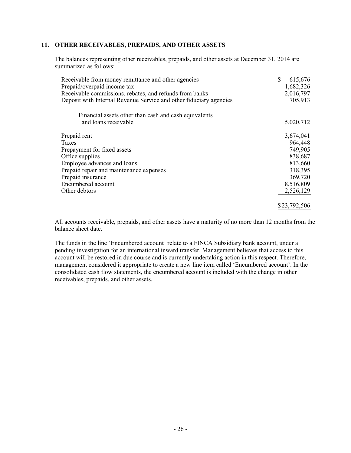#### **11. OTHER RECEIVABLES, PREPAIDS, AND OTHER ASSETS**

The balances representing other receivables, prepaids, and other assets at December 31, 2014 are summarized as follows:

| Receivable from money remittance and other agencies                | S<br>615,676 |
|--------------------------------------------------------------------|--------------|
| Prepaid/overpaid income tax                                        | 1,682,326    |
| Receivable commissions, rebates, and refunds from banks            | 2,016,797    |
| Deposit with Internal Revenue Service and other fiduciary agencies | 705,913      |
| Financial assets other than cash and cash equivalents              |              |
| and loans receivable                                               | 5,020,712    |
| Prepaid rent                                                       | 3,674,041    |
| Taxes                                                              | 964,448      |
| Prepayment for fixed assets                                        | 749,905      |
| Office supplies                                                    | 838,687      |
| Employee advances and loans                                        | 813,660      |
| Prepaid repair and maintenance expenses                            | 318,395      |
| Prepaid insurance                                                  | 369,720      |
| Encumbered account                                                 | 8,516,809    |
| Other debtors                                                      | 2,526,129    |
|                                                                    | \$23,792,506 |

All accounts receivable, prepaids, and other assets have a maturity of no more than 12 months from the balance sheet date.

The funds in the line 'Encumbered account' relate to a FINCA Subsidiary bank account, under a pending investigation for an international inward transfer. Management believes that access to this account will be restored in due course and is currently undertaking action in this respect. Therefore, management considered it appropriate to create a new line item called 'Encumbered account'. In the consolidated cash flow statements, the encumbered account is included with the change in other receivables, prepaids, and other assets.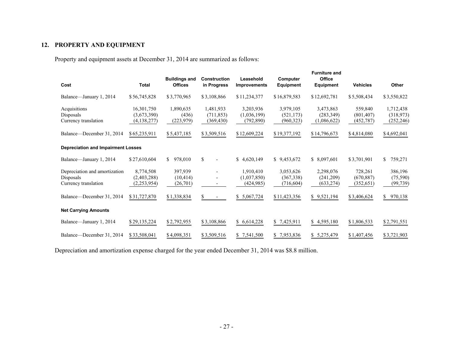#### **12. PROPERTY AND EQUIPMENT**

Property and equipment assets at December 31, 2014 are summarized as follows:

| Cost                                                                      | <b>Total</b>                             | <b>Buildings and</b><br><b>Offices</b> | <b>Construction</b><br>in Progress       | Leasehold<br><b>Improvements</b>       | Computer<br><b>Equipment</b>          | <b>Furniture and</b><br>Office<br><b>Equipment</b> | <b>Vehicles</b>                     | Other                                 |
|---------------------------------------------------------------------------|------------------------------------------|----------------------------------------|------------------------------------------|----------------------------------------|---------------------------------------|----------------------------------------------------|-------------------------------------|---------------------------------------|
| Balance—January 1, 2014                                                   | \$56,745,828                             | \$3,770,965                            | \$3,108,866                              | \$11,234,377                           | \$16,879,583                          | \$12,692,781                                       | \$5,508,434                         | \$3,550,822                           |
| Acquisitions<br>Disposals<br>Currency translation                         | 16,301,750<br>(3,673,390)<br>(4,138,277) | 1,890,635<br>(436)<br>(223, 979)       | 1,481,933<br>(711, 853)<br>(369, 430)    | 3,203,936<br>(1,036,199)<br>(792, 890) | 3,979,105<br>(521, 173)<br>(960, 323) | 3,473,863<br>(283, 349)<br>(1,086,622)             | 559,840<br>(801, 407)<br>(452, 787) | 1,712,438<br>(318, 973)<br>(252, 246) |
| Balance—December 31, 2014                                                 | \$65,235,911                             | \$5,437,185                            | \$3,509,516                              | \$12,609,224                           | \$19,377,192                          | \$14,796,673                                       | \$4,814,080                         | \$4,692,041                           |
| <b>Depreciation and Impairment Losses</b>                                 |                                          |                                        |                                          |                                        |                                       |                                                    |                                     |                                       |
| Balance—January 1, 2014                                                   | \$27,610,604                             | 978,010<br>S.                          | $\mathbb{S}$<br>$\overline{\phantom{a}}$ | \$4,620,149                            | \$9,453,672                           | \$8,097,601                                        | \$3,701,901                         | \$<br>759,271                         |
| Depreciation and amortization<br><b>Disposals</b><br>Currency translation | 8,774,508<br>(2,403,288)<br>(2,253,954)  | 397,939<br>(10, 414)<br>(26,701)       |                                          | 1,910,410<br>(1,037,850)<br>(424,985)  | 3,053,626<br>(367, 338)<br>(716, 604) | 2,298,076<br>(241, 209)<br>(633, 274)              | 728,261<br>(670, 887)<br>(352, 651) | 386,196<br>(75,590)<br>(99, 739)      |
| Balance-December 31, 2014                                                 | \$31,727,870                             | \$1,338,834                            | \$                                       | \$5,067,724                            | \$11,423,356                          | \$9,521,194                                        | \$3,406,624                         | 970,138<br>S.                         |
| <b>Net Carrying Amounts</b>                                               |                                          |                                        |                                          |                                        |                                       |                                                    |                                     |                                       |
| Balance—January 1, 2014                                                   | \$29,135,224                             | \$2,792,955                            | \$3,108,866                              | \$6,614,228                            | \$7,425,911                           | \$4,595,180                                        | \$1,806,533                         | \$2,791,551                           |
| Balance—December 31, 2014                                                 | \$33,508,041                             | \$4,098,351                            | \$3,509,516                              | \$7,541,500                            | \$7,953,836                           | \$5,275,479                                        | \$1,407,456                         | \$3,721,903                           |

Depreciation and amortization expense charged for the year ended December 31, 2014 was \$8.8 million.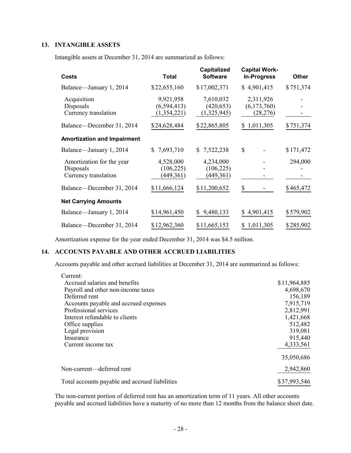#### **13. INTANGIBLE ASSETS**

Intangible assets at December 31, 2014 are summarized as follows:

| Costs                                                          | Total                                     | Capitalized<br><b>Software</b>         | <b>Capital Work-</b><br><b>In-Progress</b> | <b>Other</b> |
|----------------------------------------------------------------|-------------------------------------------|----------------------------------------|--------------------------------------------|--------------|
| Balance—January 1, 2014                                        | \$22,655,160                              | \$17,002,371                           | \$4,901,415                                | \$751,374    |
| Acquisition<br>Disposals<br>Currency translation               | 9,921,958<br>(6, 594, 413)<br>(1,354,221) | 7,610,032<br>(420, 653)<br>(1,325,945) | 2,311,926<br>(6,173,760)<br>(28, 276)      |              |
| Balance—December 31, 2014                                      | \$24,628,484                              | \$22,865,805                           | \$1,011,305                                | \$751,374    |
| <b>Amortization and Impairment</b>                             |                                           |                                        |                                            |              |
| Balance—January 1, 2014                                        | \$7,693,710                               | \$<br>7,522,238                        | \$                                         | \$171,472    |
| Amortization for the year<br>Disposals<br>Currency translation | 4,528,000<br>(106, 225)<br>(449, 361)     | 4,234,000<br>(106, 225)<br>(449, 361)  |                                            | 294,000      |
| Balance—December 31, 2014                                      | \$11,666,124                              | \$11,200,652                           | \$                                         | \$465,472    |
| <b>Net Carrying Amounts</b>                                    |                                           |                                        |                                            |              |
| Balance—January 1, 2014                                        | \$14,961,450                              | 9,480,133<br>$\mathbb{S}$              | \$4,901,415                                | \$579,902    |
| Balance-December 31, 2014                                      | \$12,962,360                              | \$11,665,153                           | \$1,011,305                                | \$285,902    |

Amortization expense for the year ended December 31, 2014 was \$4.5 million.

#### **14. ACCOUNTS PAYABLE AND OTHER ACCRUED LIABILITIES**

Accounts payable and other accrued liabilities at December 31, 2014 are summarized as follows:

| Current:                                       |              |
|------------------------------------------------|--------------|
| Accrued salaries and benefits                  | \$11,964,885 |
| Payroll and other non-income taxes             | 4,698,670    |
| Deferred rent                                  | 156,189      |
| Accounts payable and accrued expenses          | 7,915,719    |
| Professional services                          | 2,812,991    |
| Interest refundable to clients                 | 1,421,668    |
| Office supplies                                | 512,482      |
| Legal provision                                | 319,081      |
| Insurance                                      | 915,440      |
| Current income tax                             | 4,333,561    |
|                                                | 35,050,686   |
| Non-current-deferred rent                      | 2,942,860    |
| Total accounts payable and accrued liabilities | \$37,993,546 |

The non-current portion of deferred rent has an amortization term of 11 years. All other accounts payable and accrued liabilities have a maturity of no more than 12 months from the balance sheet date.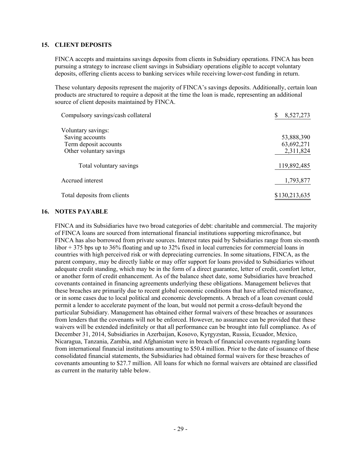#### **15. CLIENT DEPOSITS**

FINCA accepts and maintains savings deposits from clients in Subsidiary operations. FINCA has been pursuing a strategy to increase client savings in Subsidiary operations eligible to accept voluntary deposits, offering clients access to banking services while receiving lower-cost funding in return.

These voluntary deposits represent the majority of FINCA's savings deposits. Additionally, certain loan products are structured to require a deposit at the time the loan is made, representing an additional source of client deposits maintained by FINCA.

| Compulsory savings/cash collateral | 8,527,273     |
|------------------------------------|---------------|
| Voluntary savings:                 |               |
| Saving accounts                    | 53,888,390    |
| Term deposit accounts              | 63,692,271    |
| Other voluntary savings            | 2,311,824     |
| Total voluntary savings            | 119,892,485   |
| Accrued interest                   | 1,793,877     |
| Total deposits from clients        | \$130,213,635 |

#### **16. NOTES PAYABLE**

FINCA and its Subsidiaries have two broad categories of debt: charitable and commercial. The majority of FINCA loans are sourced from international financial institutions supporting microfinance, but FINCA has also borrowed from private sources. Interest rates paid by Subsidiaries range from six-month libor + 375 bps up to 36% floating and up to 32% fixed in local currencies for commercial loans in countries with high perceived risk or with depreciating currencies. In some situations, FINCA, as the parent company, may be directly liable or may offer support for loans provided to Subsidiaries without adequate credit standing, which may be in the form of a direct guarantee, letter of credit, comfort letter, or another form of credit enhancement. As of the balance sheet date, some Subsidiaries have breached covenants contained in financing agreements underlying these obligations. Management believes that these breaches are primarily due to recent global economic conditions that have affected microfinance, or in some cases due to local political and economic developments. A breach of a loan covenant could permit a lender to accelerate payment of the loan, but would not permit a cross-default beyond the particular Subsidiary. Management has obtained either formal waivers of these breaches or assurances from lenders that the covenants will not be enforced. However, no assurance can be provided that these waivers will be extended indefinitely or that all performance can be brought into full compliance. As of December 31, 2014, Subsidiaries in Azerbaijan, Kosovo, Kyrgyzstan, Russia, Ecuador, Mexico, Nicaragua, Tanzania, Zambia, and Afghanistan were in breach of financial covenants regarding loans from international financial institutions amounting to \$50.4 million. Prior to the date of issuance of these consolidated financial statements, the Subsidiaries had obtained formal waivers for these breaches of covenants amounting to \$27.7 million. All loans for which no formal waivers are obtained are classified as current in the maturity table below.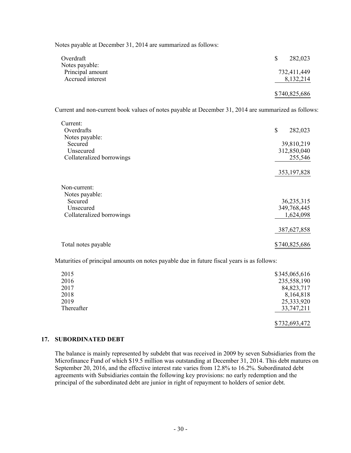Notes payable at December 31, 2014 are summarized as follows:

| Overdraft                          | 282,023<br>S  |
|------------------------------------|---------------|
| Notes payable:<br>Principal amount | 732,411,449   |
| Accrued interest                   | 8,132,214     |
|                                    | \$740,825,686 |

Current and non-current book values of notes payable at December 31, 2014 are summarized as follows:

| Current:                  |               |
|---------------------------|---------------|
| Overdrafts                | \$<br>282,023 |
| Notes payable:            |               |
| Secured                   | 39,810,219    |
| Unsecured                 | 312,850,040   |
| Collateralized borrowings | 255,546       |
|                           |               |
|                           | 353, 197, 828 |
| Non-current:              |               |
| Notes payable:            |               |
| Secured                   | 36,235,315    |
| Unsecured                 | 349,768,445   |
| Collateralized borrowings | 1,624,098     |
|                           | 387,627,858   |
|                           |               |
| Total notes payable       | \$740,825,686 |

Maturities of principal amounts on notes payable due in future fiscal years is as follows:

| 2015       | \$345,065,616 |
|------------|---------------|
| 2016       | 235,558,190   |
| 2017       | 84, 823, 717  |
| 2018       | 8,164,818     |
| 2019       | 25,333,920    |
| Thereafter | 33,747,211    |
|            | \$732,693,472 |

#### **17. SUBORDINATED DEBT**

The balance is mainly represented by subdebt that was received in 2009 by seven Subsidiaries from the Microfinance Fund of which \$19.5 million was outstanding at December 31, 2014. This debt matures on September 20, 2016, and the effective interest rate varies from 12.8% to 16.2%. Subordinated debt agreements with Subsidiaries contain the following key provisions: no early redemption and the principal of the subordinated debt are junior in right of repayment to holders of senior debt.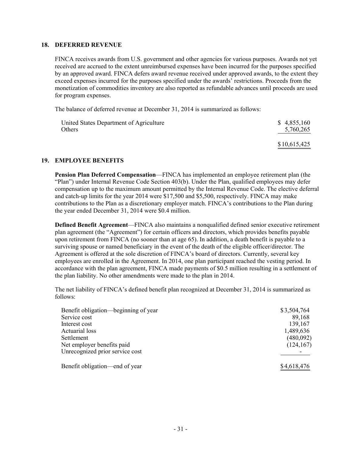#### **18. DEFERRED REVENUE**

FINCA receives awards from U.S. government and other agencies for various purposes. Awards not yet received are accrued to the extent unreimbursed expenses have been incurred for the purposes specified by an approved award. FINCA defers award revenue received under approved awards, to the extent they exceed expenses incurred for the purposes specified under the awards' restrictions. Proceeds from the monetization of commodities inventory are also reported as refundable advances until proceeds are used for program expenses.

The balance of deferred revenue at December 31, 2014 is summarized as follows:

| United States Department of Agriculture | \$4,855,160  |
|-----------------------------------------|--------------|
| Others                                  | 5,760,265    |
|                                         | \$10,615,425 |

#### **19. EMPLOYEE BENEFITS**

**Pension Plan Deferred Compensation**—FINCA has implemented an employee retirement plan (the "Plan") under Internal Revenue Code Section 403(b). Under the Plan, qualified employees may defer compensation up to the maximum amount permitted by the Internal Revenue Code. The elective deferral and catch-up limits for the year 2014 were \$17,500 and \$5,500, respectively. FINCA may make contributions to the Plan as a discretionary employer match. FINCA's contributions to the Plan during the year ended December 31, 2014 were \$0.4 million.

**Defined Benefit Agreement**—FINCA also maintains a nonqualified defined senior executive retirement plan agreement (the "Agreement") for certain officers and directors, which provides benefits payable upon retirement from FINCA (no sooner than at age 65). In addition, a death benefit is payable to a surviving spouse or named beneficiary in the event of the death of the eligible officer/director. The Agreement is offered at the sole discretion of FINCA's board of directors. Currently, several key employees are enrolled in the Agreement. In 2014, one plan participant reached the vesting period. In accordance with the plan agreement, FINCA made payments of \$0.5 million resulting in a settlement of the plan liability. No other amendments were made to the plan in 2014.

The net liability of FINCA's defined benefit plan recognized at December 31, 2014 is summarized as follows:

| Benefit obligation—beginning of year | \$3,504,764 |
|--------------------------------------|-------------|
| Service cost                         | 89,168      |
| Interest cost                        | 139,167     |
| Actuarial loss                       | 1,489,636   |
| Settlement                           | (480,092)   |
| Net employer benefits paid           | (124, 167)  |
| Unrecognized prior service cost      |             |
| Benefit obligation—end of year       | \$4,618,476 |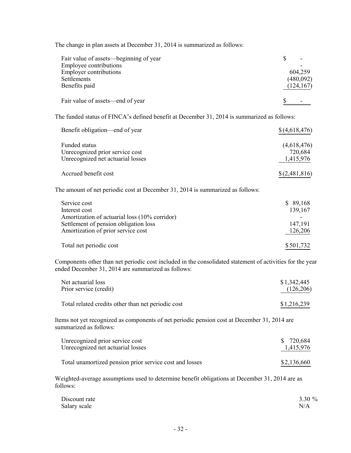The change in plan assets at December 31, 2014 is summarized as follows:

| Fair value of assets—beginning of year |            |
|----------------------------------------|------------|
| Employee contributions                 |            |
| <b>Employer contributions</b>          | 604,259    |
| Settlements                            | (480,092)  |
| Benefits paid                          | (124, 167) |
| Fair value of assets—end of year       |            |

The funded status of FINCA's defined benefit at December 31, 2014 is summarized as follows:

| Benefit obligation—end of year                                                        | \$(4,618,476)                       |
|---------------------------------------------------------------------------------------|-------------------------------------|
| Funded status<br>Unrecognized prior service cost<br>Unrecognized net actuarial losses | (4,618,476)<br>720,684<br>1,415,976 |
| Accrued benefit cost                                                                  | \$(2,481,816)                       |

The amount of net periodic cost at December 31, 2014 is summarized as follows:

| Service cost<br>Interest cost                                                                                                | \$89,168<br>139,167 |
|------------------------------------------------------------------------------------------------------------------------------|---------------------|
| Amortization of actuarial loss (10% corridor)<br>Settlement of pension obligation loss<br>Amortization of prior service cost | 147,191<br>126,206  |
| Total net periodic cost                                                                                                      | \$501,732           |

Components other than net periodic cost included in the consolidated statement of activities for the year ended December 31, 2014 are summarized as follows:

| Net actuarial loss                                 | \$1,342,445 |
|----------------------------------------------------|-------------|
| Prior service (credit)                             | (126,206)   |
| Total related credits other than net periodic cost | \$1,216,239 |

Items not yet recognized as components of net periodic pension cost at December 31, 2014 are summarized as follows:

| Unrecognized prior service cost                         | \$ 720,684  |
|---------------------------------------------------------|-------------|
| Unrecognized net actuarial losses                       | 1,415,976   |
| Total unamortized pension prior service cost and losses | \$2,136,660 |

Weighted-average assumptions used to determine benefit obligations at December 31, 2014 are as follows:

| Discount rate | 3.30% |
|---------------|-------|
| Salary scale  | N/A   |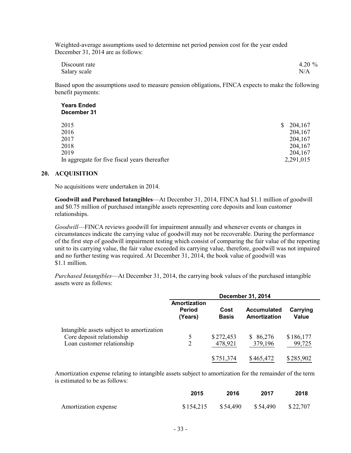Weighted-average assumptions used to determine net period pension cost for the year ended December 31, 2014 are as follows:

| Discount rate | 4.20 $%$ |
|---------------|----------|
| Salary scale  | N/A      |

Based upon the assumptions used to measure pension obligations, FINCA expects to make the following benefit payments:

#### **Years Ended December 31**

| 2015                                          | 204,167<br>S. |
|-----------------------------------------------|---------------|
| 2016                                          | 204,167       |
| 2017                                          | 204,167       |
| 2018                                          | 204,167       |
| 2019                                          | 204,167       |
| In aggregate for five fiscal years thereafter | 2,291,015     |
|                                               |               |

#### **20. ACQUISITION**

No acquisitions were undertaken in 2014.

**Goodwill and Purchased Intangibles**—At December 31, 2014, FINCA had \$1.1 million of goodwill and \$0.75 million of purchased intangible assets representing core deposits and loan customer relationships.

*Goodwill*—FINCA reviews goodwill for impairment annually and whenever events or changes in circumstances indicate the carrying value of goodwill may not be recoverable. During the performance of the first step of goodwill impairment testing which consist of comparing the fair value of the reporting unit to its carrying value, the fair value exceeded its carrying value, therefore, goodwill was not impaired and no further testing was required. At December 31, 2014, the book value of goodwill was \$1.1 million

*Purchased Intangibles*—At December 31, 2014, the carrying book values of the purchased intangible assets were as follows:

|                                                                                                      | <b>December 31, 2014</b>                 |                      |                                    |                     |  |
|------------------------------------------------------------------------------------------------------|------------------------------------------|----------------------|------------------------------------|---------------------|--|
|                                                                                                      | Amortization<br><b>Period</b><br>(Years) | Cost<br><b>Basis</b> | <b>Accumulated</b><br>Amortization | Carrying<br>Value   |  |
| Intangible assets subject to amortization<br>Core deposit relationship<br>Loan customer relationship | 5<br>2                                   | \$272,453<br>478,921 | \$ 86,276<br>379,196               | \$186,177<br>99,725 |  |
|                                                                                                      |                                          | \$751,374            | \$465,472                          | \$285,902           |  |

Amortization expense relating to intangible assets subject to amortization for the remainder of the term is estimated to be as follows:

|                      | 2015 | 2016                                     | 2017 | 2018 |
|----------------------|------|------------------------------------------|------|------|
| Amortization expense |      | $$154,215$ $$54,490$ $$54,490$ $$22,707$ |      |      |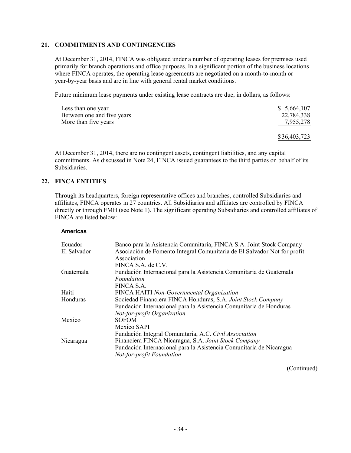#### **21. COMMITMENTS AND CONTINGENCIES**

At December 31, 2014, FINCA was obligated under a number of operating leases for premises used primarily for branch operations and office purposes. In a significant portion of the business locations where FINCA operates, the operating lease agreements are negotiated on a month-to-month or year-by-year basis and are in line with general rental market conditions.

Future minimum lease payments under existing lease contracts are due, in dollars, as follows:

| Less than one year         | \$5,664,107 |
|----------------------------|-------------|
| Between one and five years | 22,784,338  |
| More than five years       | 7,955,278   |
|                            |             |

\$36,403,723

At December 31, 2014, there are no contingent assets, contingent liabilities, and any capital commitments. As discussed in Note 24, FINCA issued guarantees to the third parties on behalf of its Subsidiaries.

#### **22. FINCA ENTITIES**

Through its headquarters, foreign representative offices and branches, controlled Subsidiaries and affiliates, FINCA operates in 27 countries. All Subsidiaries and affiliates are controlled by FINCA directly or through FMH (see Note 1). The significant operating Subsidiaries and controlled affiliates of FINCA are listed below:

#### **Americas**

| Ecuador<br>El Salvador | Banco para la Asistencia Comunitaria, FINCA S.A. Joint Stock Company<br>Asociación de Fomento Integral Comunitaria de El Salvador Not for profit<br>Association<br>FINCA S.A. de C.V. |
|------------------------|---------------------------------------------------------------------------------------------------------------------------------------------------------------------------------------|
| Guatemala              | Fundación Internacional para la Asistencia Comunitaria de Guatemala<br>Foundation<br>FINCA S.A.                                                                                       |
| Haiti                  | FINCA HAITI Non-Governmental Organization                                                                                                                                             |
| Honduras               | Sociedad Financiera FINCA Honduras, S.A. Joint Stock Company<br>Fundación Internacional para la Asistencia Comunitaria de Honduras<br>Not-for-profit Organization                     |
| Mexico                 | <b>SOFOM</b><br>Mexico SAPI<br>Fundación Integral Comunitaria, A.C. Civil Association                                                                                                 |
| Nicaragua              | Financiera FINCA Nicaragua, S.A. Joint Stock Company<br>Fundación Internacional para la Asistencia Comunitaria de Nicaragua<br>Not-for-profit Foundation                              |

(Continued)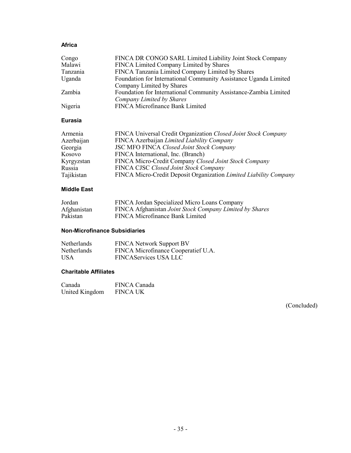#### **Africa**

| Congo                | FINCA DR CONGO SARL Limited Liability Joint Stock Company                                                  |
|----------------------|------------------------------------------------------------------------------------------------------------|
| Malawi               | FINCA Limited Company Limited by Shares                                                                    |
| Tanzania             | FINCA Tanzania Limited Company Limited by Shares                                                           |
| Uganda               | Foundation for International Community Assistance Uganda Limited<br>Company Limited by Shares              |
| Zambia               | Foundation for International Community Assistance-Zambia Limited<br>Company Limited by Shares              |
| Nigeria              | FINCA Microfinance Bank Limited                                                                            |
| <b>Eurasia</b>       |                                                                                                            |
| Armenia              | FINCA Universal Credit Organization Closed Joint Stock Company                                             |
| Azerbaijan           | FINCA Azerbaijan Limited Liability Company                                                                 |
|                      |                                                                                                            |
| Georgia              | <b>JSC MFO FINCA Closed Joint Stock Company</b>                                                            |
| Kosovo               | FINCA International, Inc. (Branch)                                                                         |
| Kyrgyzstan           | FINCA Micro-Credit Company Closed Joint Stock Company                                                      |
| Russia<br>Tajikistan | FINCA CJSC Closed Joint Stock Company<br>FINCA Micro-Credit Deposit Organization Limited Liability Company |

#### **Middle East**

| Jordan      | FINCA Jordan Specialized Micro Loans Company            |
|-------------|---------------------------------------------------------|
| Afghanistan | FINCA Afghanistan Joint Stock Company Limited by Shares |
| Pakistan    | <b>FINCA Microfinance Bank Limited</b>                  |

#### **Non-Microfinance Subsidiaries**

| <b>Netherlands</b> | <b>FINCA Network Support BV</b>     |
|--------------------|-------------------------------------|
| <b>Netherlands</b> | FINCA Microfinance Cooperatief U.A. |
| <b>USA</b>         | <b>FINCAServices USA LLC</b>        |

#### **Charitable Affiliates**

| Canada         | <b>FINCA Canada</b> |
|----------------|---------------------|
| United Kingdom | <b>FINCA UK</b>     |

(Concluded)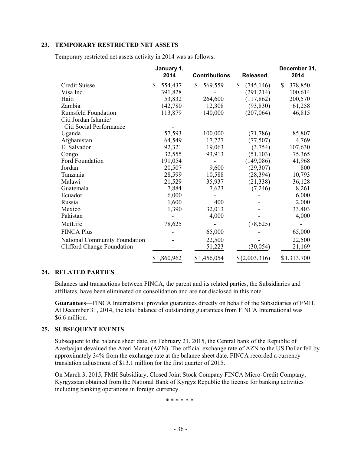#### **23. TEMPORARY RESTRICTED NET ASSETS**

Temporary restricted net assets activity in 2014 was as follows:

|                               | January 1,<br>2014 | <b>Contributions</b> | <b>Released</b>  | December 31,<br>2014 |
|-------------------------------|--------------------|----------------------|------------------|----------------------|
| <b>Credit Suisse</b>          | \$<br>554,437      | \$<br>569,559        | \$<br>(745, 146) | 378,850<br>\$        |
| Visa Inc.                     | 391,828            |                      | (291, 214)       | 100,614              |
| Haiti                         | 53,832             | 264,600              | (117, 862)       | 200,570              |
| Zambia                        | 142,780            | 12,308               | (93, 830)        | 61,258               |
| <b>Rumsfeld Foundation</b>    | 113,879            | 140,000              | (207, 064)       | 46,815               |
| Citi Jordan Islamic/          |                    |                      |                  |                      |
| Citi Social Performance       |                    |                      |                  |                      |
| Uganda                        | 57,593             | 100,000              | (71, 786)        | 85,807               |
| Afghanistan                   | 64,549             | 17,727               | (77, 507)        | 4,769                |
| El Salvador                   | 92,321             | 19,063               | (3,754)          | 107,630              |
| Congo                         | 32,555             | 93,913               | (51, 103)        | 75,365               |
| Ford Foundation               | 191,054            |                      | (149,086)        | 41,968               |
| Jordan                        | 20,507             | 9,600                | (29, 307)        | 800                  |
| Tanzania                      | 28,599             | 10,588               | (28, 394)        | 10,793               |
| Malawi                        | 21,529             | 35,937               | (21, 338)        | 36,128               |
| Guatemala                     | 7,884              | 7,623                | (7,246)          | 8,261                |
| Ecuador                       | 6,000              |                      |                  | 6,000                |
| Russia                        | 1,600              | 400                  |                  | 2,000                |
| Mexico                        | 1,390              | 32,013               |                  | 33,403               |
| Pakistan                      |                    | 4,000                |                  | 4,000                |
| MetLife                       | 78,625             |                      | (78, 625)        |                      |
| <b>FINCA Plus</b>             |                    | 65,000               |                  | 65,000               |
| National Community Foundation |                    | 22,500               |                  | 22,500               |
| Clifford Change Foundation    |                    | 51,223               | (30, 054)        | 21,169               |
|                               | \$1,860,962        | \$1,456,054          | \$(2,003,316)    | \$1,313,700          |

#### **24. RELATED PARTIES**

Balances and transactions between FINCA, the parent and its related parties, the Subsidiaries and affiliates, have been eliminated on consolidation and are not disclosed in this note.

**Guarantees**—FINCA International provides guarantees directly on behalf of the Subsidiaries of FMH. At December 31, 2014, the total balance of outstanding guarantees from FINCA International was \$6.6 million.

#### **25. SUBSEQUENT EVENTS**

Subsequent to the balance sheet date, on February 21, 2015, the Central bank of the Republic of Azerbaijan devalued the Azeri Manat (AZN). The official exchange rate of AZN to the US Dollar fell by approximately 34% from the exchange rate at the balance sheet date. FINCA recorded a currency translation adjustment of \$13.1 million for the first quarter of 2015.

On March 3, 2015, FMH Subsidiary, Closed Joint Stock Company FINCA Micro-Credit Company, Kyrgyzstan obtained from the National Bank of Kyrgyz Republic the license for banking activities including banking operations in foreign currency.

\*\*\*\*\*\*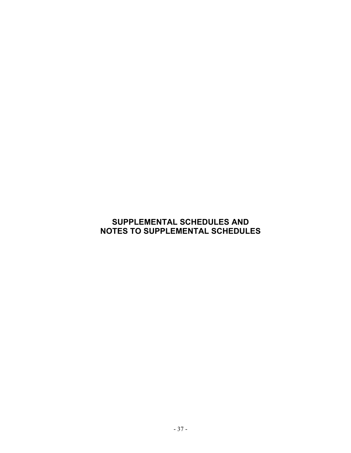# **SUPPLEMENTAL SCHEDULES AND NOTES TO SUPPLEMENTAL SCHEDULES**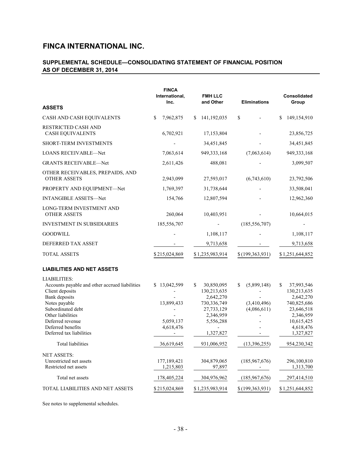#### **SUPPLEMENTAL SCHEDULE—CONSOLIDATING STATEMENT OF FINANCIAL POSITION AS OF DECEMBER 31, 2014**

|                                                                                                                                                                                                                                           | <b>FINCA</b><br>International,<br>Inc.                    | <b>FMH LLC</b><br>and Other                                                                                      | <b>Eliminations</b>                             | Consolidated<br>Group                                                                                                          |
|-------------------------------------------------------------------------------------------------------------------------------------------------------------------------------------------------------------------------------------------|-----------------------------------------------------------|------------------------------------------------------------------------------------------------------------------|-------------------------------------------------|--------------------------------------------------------------------------------------------------------------------------------|
| <b>ASSETS</b>                                                                                                                                                                                                                             |                                                           |                                                                                                                  |                                                 |                                                                                                                                |
| CASH AND CASH EQUIVALENTS                                                                                                                                                                                                                 | 7,962,875<br>S                                            | 141,192,035<br>\$                                                                                                | \$                                              | \$<br>149,154,910                                                                                                              |
| <b>RESTRICTED CASH AND</b><br><b>CASH EQUIVALENTS</b>                                                                                                                                                                                     | 6,702,921                                                 | 17,153,804                                                                                                       |                                                 | 23,856,725                                                                                                                     |
| <b>SHORT-TERM INVESTMENTS</b>                                                                                                                                                                                                             |                                                           | 34,451,845                                                                                                       |                                                 | 34,451,845                                                                                                                     |
| <b>LOANS RECEIVABLE-Net</b>                                                                                                                                                                                                               | 7,063,614                                                 | 949, 333, 168                                                                                                    | (7,063,614)                                     | 949, 333, 168                                                                                                                  |
| <b>GRANTS RECEIVABLE-Net</b>                                                                                                                                                                                                              | 2,611,426                                                 | 488,081                                                                                                          |                                                 | 3,099,507                                                                                                                      |
| OTHER RECEIVABLES, PREPAIDS, AND<br><b>OTHER ASSETS</b>                                                                                                                                                                                   | 2,943,099                                                 | 27,593,017                                                                                                       | (6,743,610)                                     | 23,792,506                                                                                                                     |
| PROPERTY AND EQUIPMENT-Net                                                                                                                                                                                                                | 1,769,397                                                 | 31,738,644                                                                                                       |                                                 | 33,508,041                                                                                                                     |
| <b>INTANGIBLE ASSETS-Net</b>                                                                                                                                                                                                              | 154,766                                                   | 12,807,594                                                                                                       |                                                 | 12,962,360                                                                                                                     |
| <b>LONG-TERM INVESTMENT AND</b><br><b>OTHER ASSETS</b>                                                                                                                                                                                    | 260,064                                                   | 10,403,951                                                                                                       |                                                 | 10,664,015                                                                                                                     |
| <b>INVESTMENT IN SUBSIDIARIES</b>                                                                                                                                                                                                         | 185,556,707                                               |                                                                                                                  | (185, 556, 707)                                 |                                                                                                                                |
| <b>GOODWILL</b>                                                                                                                                                                                                                           |                                                           | 1,108,117                                                                                                        |                                                 | 1,108,117                                                                                                                      |
| DEFERRED TAX ASSET                                                                                                                                                                                                                        |                                                           | 9,713,658                                                                                                        |                                                 | 9,713,658                                                                                                                      |
| <b>TOTAL ASSETS</b>                                                                                                                                                                                                                       | \$215,024,869                                             | \$1,235,983,914                                                                                                  | \$(199, 363, 931)                               | \$1,251,644,852                                                                                                                |
| <b>LIABILITIES AND NET ASSETS</b>                                                                                                                                                                                                         |                                                           |                                                                                                                  |                                                 |                                                                                                                                |
| <b>LIABILITIES:</b><br>Accounts payable and other accrued liabilities<br>Client deposits<br>Bank deposits<br>Notes payable<br>Subordinated debt<br>Other liabilities<br>Deferred revenue<br>Deferred benefits<br>Deferred tax liabilities | \$13,042,599<br>13,899,433<br>5,059,137<br>4,618,476<br>- | 30,850,095<br>S.<br>130,213,635<br>2,642,270<br>730,336,749<br>27,733,129<br>2,346,959<br>5,556,288<br>1,327,827 | (5,899,148)<br>S.<br>(3,410,496)<br>(4,086,611) | \$<br>37,993,546<br>130,213,635<br>2,642,270<br>740,825,686<br>23,646,518<br>2,346,959<br>10,615,425<br>4,618,476<br>1,327,827 |
| Total liabilities                                                                                                                                                                                                                         | 36,619,645                                                | 931,006,952                                                                                                      | (13, 396, 255)                                  | 954,230,342                                                                                                                    |
| NET ASSETS:<br>Unrestricted net assets<br>Restricted net assets                                                                                                                                                                           | 177,189,421<br>1,215,803                                  | 304,879,065<br>97,897                                                                                            | (185, 967, 676)                                 | 296,100,810<br>1,313,700                                                                                                       |
| Total net assets                                                                                                                                                                                                                          | 178,405,224                                               | 304,976,962                                                                                                      | (185, 967, 676)                                 | 297,414,510                                                                                                                    |
| TOTAL LIABILITIES AND NET ASSETS                                                                                                                                                                                                          | \$215,024,869                                             | \$1,235,983,914                                                                                                  | \$(199, 363, 931)                               | \$1,251,644,852                                                                                                                |

See notes to supplemental schedules.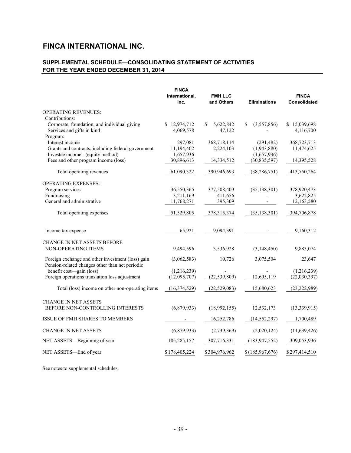#### **SUPPLEMENTAL SCHEDULE—CONSOLIDATING STATEMENT OF ACTIVITIES FOR THE YEAR ENDED DECEMBER 31, 2014**

|                                                                                                      | <b>FINCA</b><br>International,<br>Inc. | <b>FMH LLC</b><br>and Others | <b>Eliminations</b> | <b>FINCA</b><br><b>Consolidated</b> |
|------------------------------------------------------------------------------------------------------|----------------------------------------|------------------------------|---------------------|-------------------------------------|
| <b>OPERATING REVENUES:</b>                                                                           |                                        |                              |                     |                                     |
| Contributions:                                                                                       |                                        |                              |                     |                                     |
| Corporate, foundation, and individual giving<br>Services and gifts in kind                           | \$12,974,712<br>4,069,578              | 5,622,842<br>\$<br>47,122    | (3,557,856)<br>\$   | \$15,039,698<br>4,116,700           |
| Program:                                                                                             |                                        |                              |                     |                                     |
| Interest income                                                                                      | 297,081                                | 368,718,114                  | (291, 482)          |                                     |
| Grants and contracts, including federal government                                                   | 11,194,402                             | 2,224,103                    | (1,943,880)         | 368,723,713<br>11,474,625           |
| Investee income - (equity method)                                                                    | 1,657,936                              |                              | (1,657,936)         |                                     |
| Fees and other program income (loss)                                                                 | 30,896,613                             | 14,334,512                   | (30, 835, 597)      | 14,395,528                          |
|                                                                                                      |                                        |                              |                     |                                     |
| Total operating revenues                                                                             | 61,090,322                             | 390,946,693                  | (38, 286, 751)      | 413,750,264                         |
| <b>OPERATING EXPENSES:</b>                                                                           |                                        |                              |                     |                                     |
| Program services                                                                                     | 36,550,365                             | 377,508,409                  | (35, 138, 301)      | 378,920,473                         |
| Fundraising                                                                                          | 3,211,169                              | 411,656                      |                     | 3,622,825                           |
| General and administrative                                                                           | 11,768,271                             | 395,309                      |                     | 12,163,580                          |
| Total operating expenses                                                                             | 51,529,805                             | 378, 315, 374                | (35, 138, 301)      | 394,706,878                         |
| Income tax expense                                                                                   | 65,921                                 | 9,094,391                    |                     | 9,160,312                           |
| CHANGE IN NET ASSETS BEFORE                                                                          |                                        |                              |                     |                                     |
| NON-OPERATING ITEMS                                                                                  | 9,494,596                              | 3,536,928                    | (3, 148, 450)       | 9,883,074                           |
| Foreign exchange and other investment (loss) gain<br>Pension-related changes other than net periodic | (3,062,583)                            | 10,726                       | 3,075,504           | 23,647                              |
| benefit cost—gain (loss)                                                                             | (1,216,239)                            |                              |                     | (1,216,239)                         |
| Foreign operations translation loss adjustment                                                       | (12,095,707)                           | (22, 539, 809)               | 12,605,119          | (22,030,397)                        |
| Total (loss) income on other non-operating items                                                     | (16,374,529)                           | (22, 529, 083)               | 15,680,623          | (23, 222, 989)                      |
| <b>CHANGE IN NET ASSETS</b>                                                                          |                                        |                              |                     |                                     |
| BEFORE NON-CONTROLLING INTERESTS                                                                     | (6,879,933)                            | (18,992,155)                 | 12,532,173          | (13, 339, 915)                      |
| <b>ISSUE OF FMH SHARES TO MEMBERS</b>                                                                |                                        | 16,252,786                   | (14, 552, 297)      | 1,700,489                           |
| <b>CHANGE IN NET ASSETS</b>                                                                          | (6,879,933)                            | (2,739,369)                  | (2,020,124)         | (11, 639, 426)                      |
| NET ASSETS—Beginning of year                                                                         | 185,285,157                            | 307,716,331                  | (183, 947, 552)     | 309,053,936                         |
| NET ASSETS-End of year                                                                               | \$178,405,224                          | \$304,976,962                | \$(185,967,676)     | \$297,414,510                       |

See notes to supplemental schedules.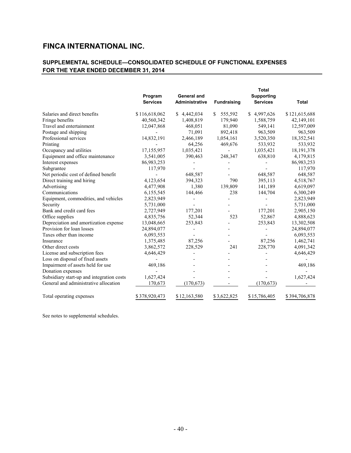#### **SUPPLEMENTAL SCHEDULE—CONSOLIDATED SCHEDULE OF FUNCTIONAL EXPENSES FOR THE YEAR ENDED DECEMBER 31, 2014**

|                                           | Program<br><b>Services</b> | <b>General and</b><br>Administrative | <b>Fundraising</b>      | <b>Total</b><br><b>Supporting</b><br><b>Services</b> | <b>Total</b>  |
|-------------------------------------------|----------------------------|--------------------------------------|-------------------------|------------------------------------------------------|---------------|
| Salaries and direct benefits              | \$116,618,062              | \$4,442,034                          | 555,592<br><sup>S</sup> | \$4,997,626                                          | \$121,615,688 |
| Fringe benefits                           | 40,560,342                 | 1,408,819                            | 179,940                 | 1,588,759                                            | 42,149,101    |
| Travel and entertainment                  | 12,047,868                 | 468,051                              | 81,090                  | 549,141                                              | 12,597,009    |
| Postage and shipping                      |                            | 71,091                               | 892,418                 | 963,509                                              | 963,509       |
| Professional services                     | 14,832,191                 | 2,466,189                            | 1,054,161               | 3,520,350                                            | 18,352,541    |
| Printing                                  |                            | 64,256                               | 469,676                 | 533,932                                              | 533,932       |
| Occupancy and utilities                   | 17,155,957                 | 1,035,421                            |                         | 1,035,421                                            | 18, 191, 378  |
| Equipment and office maintenance          | 3,541,005                  | 390,463                              | 248,347                 | 638,810                                              | 4,179,815     |
| Interest expenses                         | 86,983,253                 |                                      |                         |                                                      | 86,983,253    |
| Subgrantee                                | 117,970                    |                                      |                         |                                                      | 117,970       |
| Net periodic cost of defined benefit      |                            | 648,587                              |                         | 648,587                                              | 648,587       |
| Direct training and hiring                | 4,123,654                  | 394,323                              | 790                     | 395,113                                              | 4,518,767     |
| Advertising                               | 4,477,908                  | 1,380                                | 139,809                 | 141,189                                              | 4,619,097     |
| Communications                            | 6,155,545                  | 144,466                              | 238                     | 144,704                                              | 6,300,249     |
| Equipment, commodities, and vehicles      | 2,823,949                  |                                      |                         |                                                      | 2,823,949     |
| Security                                  | 5,731,000                  |                                      |                         |                                                      | 5,731,000     |
| Bank and credit card fees                 | 2,727,949                  | 177,201                              |                         | 177,201                                              | 2,905,150     |
| Office supplies                           | 4,835,756                  | 52,344                               | 523                     | 52,867                                               | 4,888,623     |
| Depreciation and amortization expense     | 13,048,665                 | 253,843                              |                         | 253,843                                              | 13,302,508    |
| Provision for loan losses                 | 24,894,077                 |                                      |                         |                                                      | 24,894,077    |
| Taxes other than income                   | 6,093,553                  |                                      |                         |                                                      | 6,093,553     |
| Insurance                                 | 1,375,485                  | 87,256                               |                         | 87,256                                               | 1,462,741     |
| Other direct costs                        | 3,862,572                  | 228,529                              | 241                     | 228,770                                              | 4,091,342     |
| License and subscription fees             | 4,646,429                  |                                      |                         |                                                      | 4,646,429     |
| Loss on disposal of fixed assets          |                            |                                      |                         |                                                      |               |
| Impairment of assets held for use         | 469,186                    |                                      |                         |                                                      | 469,186       |
| Donation expenses                         |                            |                                      |                         |                                                      |               |
| Subsidiary start-up and integration costs | 1,627,424                  |                                      |                         |                                                      | 1,627,424     |
| General and administrative allocation     | 170,673                    | (170, 673)                           |                         | (170, 673)                                           |               |
| Total operating expenses                  | \$378,920,473              | \$12,163,580                         | \$3,622,825             | \$15,786,405                                         | \$394,706,878 |

See notes to supplemental schedules.